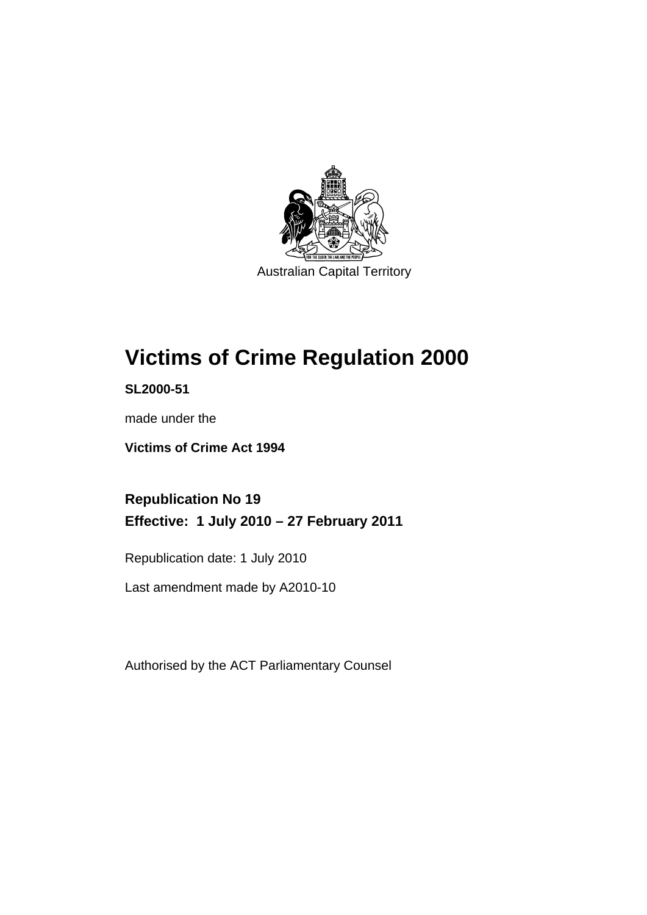

# **[Victims of Crime Regulation 2000](#page-6-0)**

**SL2000-51** 

made under the

**[Victims of Crime Act 1994](#page-6-0)** 

**Republication No 19 Effective: 1 July 2010 – 27 February 2011** 

Republication date: 1 July 2010

Last amendment made by A2010-10

Authorised by the ACT Parliamentary Counsel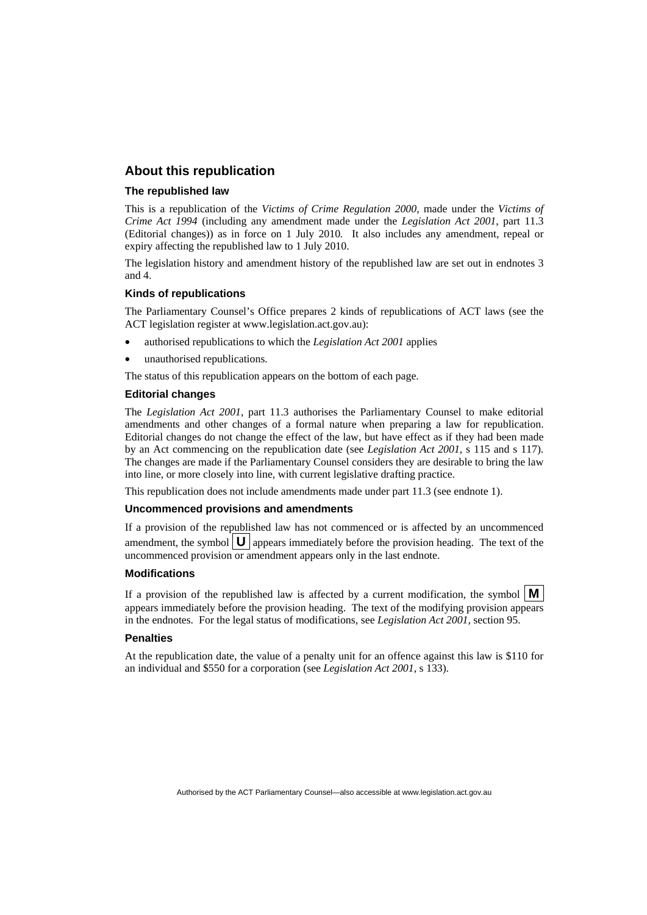#### **About this republication**

#### **The republished law**

This is a republication of the *Victims of Crime Regulation 2000*, made under the *[Victims of](#page-6-0)  [Crime Act 1994](#page-6-0)* (including any amendment made under the *Legislation Act 2001*, part 11.3 (Editorial changes)) as in force on 1 July 2010*.* It also includes any amendment, repeal or expiry affecting the republished law to 1 July 2010.

The legislation history and amendment history of the republished law are set out in endnotes 3 and 4.

#### **Kinds of republications**

The Parliamentary Counsel's Office prepares 2 kinds of republications of ACT laws (see the ACT legislation register at www.legislation.act.gov.au):

- authorised republications to which the *Legislation Act 2001* applies
- unauthorised republications.

The status of this republication appears on the bottom of each page.

#### **Editorial changes**

The *Legislation Act 2001*, part 11.3 authorises the Parliamentary Counsel to make editorial amendments and other changes of a formal nature when preparing a law for republication. Editorial changes do not change the effect of the law, but have effect as if they had been made by an Act commencing on the republication date (see *Legislation Act 2001*, s 115 and s 117). The changes are made if the Parliamentary Counsel considers they are desirable to bring the law into line, or more closely into line, with current legislative drafting practice.

This republication does not include amendments made under part 11.3 (see endnote 1).

#### **Uncommenced provisions and amendments**

If a provision of the republished law has not commenced or is affected by an uncommenced amendment, the symbol  $\mathbf{U}$  appears immediately before the provision heading. The text of the uncommenced provision  $\overline{or}$  amendment appears only in the last endnote.

#### **Modifications**

If a provision of the republished law is affected by a current modification, the symbol  $\mathbf{M}$ appears immediately before the provision heading. The text of the modifying provision appears in the endnotes. For the legal status of modifications, see *Legislation Act 2001*, section 95.

#### **Penalties**

At the republication date, the value of a penalty unit for an offence against this law is \$110 for an individual and \$550 for a corporation (see *Legislation Act 2001*, s 133).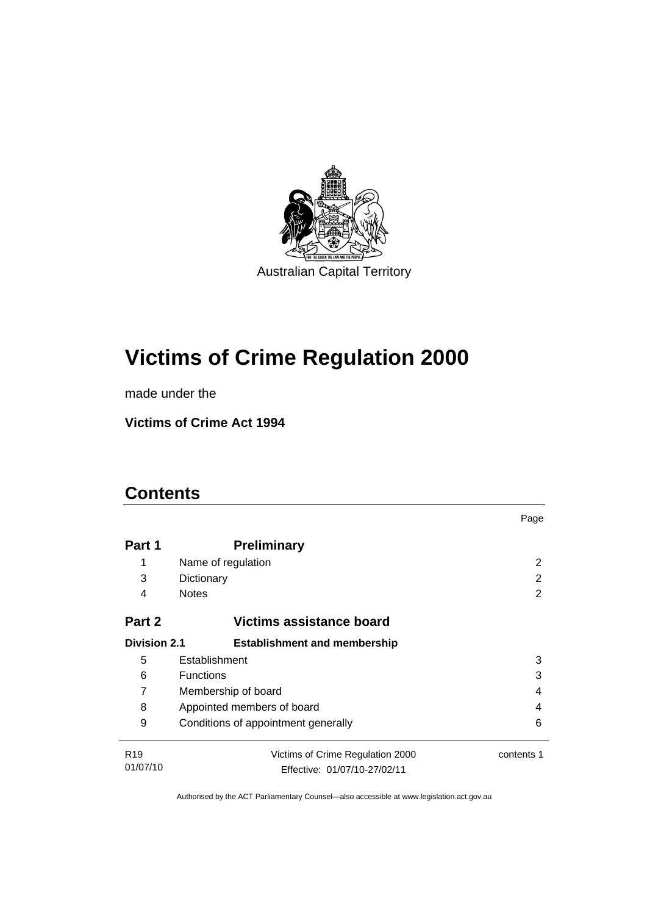

# **[Victims of Crime Regulation 2000](#page-6-0)**

made under the

**[Victims of Crime Act 1994](#page-6-0)** 

## **Contents**

|                     |                                          | Page       |  |  |  |
|---------------------|------------------------------------------|------------|--|--|--|
| Part 1              | <b>Preliminary</b>                       |            |  |  |  |
| 1                   | Name of regulation                       | 2          |  |  |  |
| 3                   | Dictionary                               | 2          |  |  |  |
| 4                   | <b>Notes</b>                             | 2          |  |  |  |
| Part 2              | Victims assistance board                 |            |  |  |  |
| <b>Division 2.1</b> | <b>Establishment and membership</b>      |            |  |  |  |
| 5                   | Establishment                            | 3          |  |  |  |
| 6                   | <b>Functions</b><br>3                    |            |  |  |  |
| 7                   | Membership of board<br>4                 |            |  |  |  |
| 8                   | Appointed members of board<br>4          |            |  |  |  |
| 9                   | Conditions of appointment generally<br>6 |            |  |  |  |
| R <sub>19</sub>     | Victims of Crime Regulation 2000         | contents 1 |  |  |  |
| 01/07/10            | Effective: 01/07/10-27/02/11             |            |  |  |  |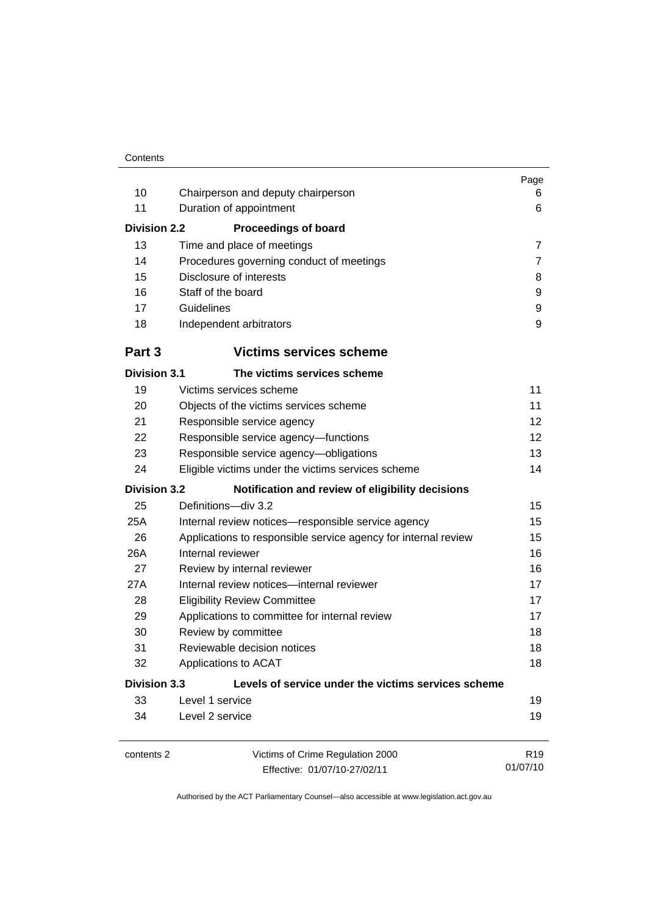| 10<br>11<br><b>Division 2.2</b><br>13<br>14                                | Chairperson and deputy chairperson<br>Duration of appointment<br><b>Proceedings of board</b><br>Time and place of meetings<br>Procedures governing conduct of meetings | Page<br>6<br>6<br>$\overline{7}$<br>7 |  |  |
|----------------------------------------------------------------------------|------------------------------------------------------------------------------------------------------------------------------------------------------------------------|---------------------------------------|--|--|
| 15                                                                         | Disclosure of interests                                                                                                                                                | 8                                     |  |  |
| 16                                                                         | Staff of the board                                                                                                                                                     | 9                                     |  |  |
| 17                                                                         | Guidelines                                                                                                                                                             | 9                                     |  |  |
| 18                                                                         | Independent arbitrators                                                                                                                                                | 9                                     |  |  |
| Part 3                                                                     | <b>Victims services scheme</b>                                                                                                                                         |                                       |  |  |
| <b>Division 3.1</b>                                                        | The victims services scheme                                                                                                                                            |                                       |  |  |
| 19                                                                         | Victims services scheme                                                                                                                                                | 11                                    |  |  |
| 20                                                                         | Objects of the victims services scheme                                                                                                                                 | 11                                    |  |  |
| 21                                                                         | Responsible service agency                                                                                                                                             | 12                                    |  |  |
| 22                                                                         | Responsible service agency-functions                                                                                                                                   | 12                                    |  |  |
| 23                                                                         | Responsible service agency-obligations                                                                                                                                 |                                       |  |  |
| 24                                                                         | 14<br>Eligible victims under the victims services scheme                                                                                                               |                                       |  |  |
| <b>Division 3.2</b>                                                        | Notification and review of eligibility decisions                                                                                                                       |                                       |  |  |
| 25                                                                         | Definitions-div 3.2                                                                                                                                                    | 15                                    |  |  |
| 25A                                                                        | Internal review notices-responsible service agency<br>15                                                                                                               |                                       |  |  |
| 26                                                                         | 15<br>Applications to responsible service agency for internal review                                                                                                   |                                       |  |  |
| 26A                                                                        | Internal reviewer                                                                                                                                                      | 16                                    |  |  |
| 27                                                                         | Review by internal reviewer                                                                                                                                            | 16                                    |  |  |
| 27A                                                                        | Internal review notices-internal reviewer                                                                                                                              | 17                                    |  |  |
| 28                                                                         | <b>Eligibility Review Committee</b>                                                                                                                                    | 17                                    |  |  |
| 29                                                                         | 17<br>Applications to committee for internal review                                                                                                                    |                                       |  |  |
| 30                                                                         | Review by committee                                                                                                                                                    | 18                                    |  |  |
| 31                                                                         | Reviewable decision notices                                                                                                                                            | 18                                    |  |  |
| 32                                                                         | Applications to ACAT<br>18                                                                                                                                             |                                       |  |  |
| <b>Division 3.3</b><br>Levels of service under the victims services scheme |                                                                                                                                                                        |                                       |  |  |
| 33                                                                         | Level 1 service                                                                                                                                                        | 19                                    |  |  |
| 34                                                                         | Level 2 service                                                                                                                                                        | 19                                    |  |  |
| contents 2                                                                 | Victims of Crime Regulation 2000<br>Effective: 01/07/10-27/02/11                                                                                                       | R <sub>19</sub><br>01/07/10           |  |  |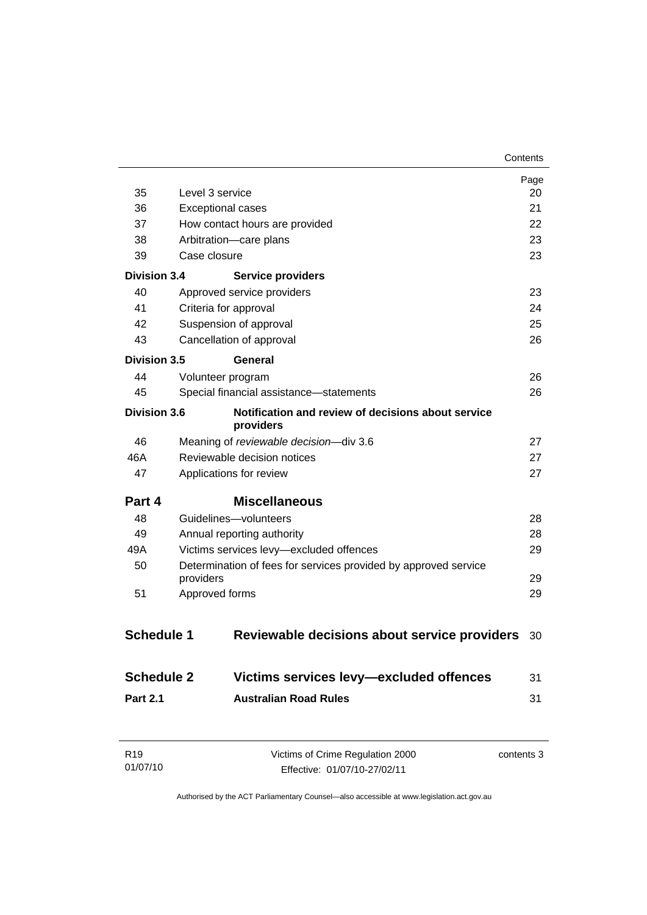|                     |                                                                 | Page<br>20 |
|---------------------|-----------------------------------------------------------------|------------|
| 35                  | Level 3 service                                                 |            |
| 36                  | <b>Exceptional cases</b>                                        |            |
| 37                  | How contact hours are provided                                  |            |
| 38                  | Arbitration-care plans                                          | 23         |
| 39                  | Case closure                                                    | 23         |
| <b>Division 3.4</b> | <b>Service providers</b>                                        |            |
| 40                  | Approved service providers                                      | 23         |
| 41                  | Criteria for approval                                           | 24         |
| 42                  | Suspension of approval                                          | 25         |
| 43                  | Cancellation of approval                                        | 26         |
| Division 3.5        | General                                                         |            |
| 44                  | Volunteer program                                               | 26         |
| 45                  | Special financial assistance-statements                         | 26         |
| <b>Division 3.6</b> | Notification and review of decisions about service<br>providers |            |
| 46                  | Meaning of reviewable decision-div 3.6                          | 27         |
| 46A                 | Reviewable decision notices<br>27                               |            |
| 47                  | Applications for review<br>27                                   |            |
| Part 4              | <b>Miscellaneous</b>                                            |            |
| 48                  | Guidelines-volunteers                                           | 28         |
| 49                  | 28<br>Annual reporting authority                                |            |
| 49A                 | Victims services levy-excluded offences<br>29                   |            |
| 50                  | Determination of fees for services provided by approved service |            |
|                     | providers                                                       | 29         |
| 51                  | Approved forms                                                  | 29         |
| <b>Schedule 1</b>   | Reviewable decisions about service providers                    | 30         |
| <b>Schedule 2</b>   | Victims services levy-excluded offences                         | 31         |
| <b>Part 2.1</b>     | <b>Australian Road Rules</b>                                    | 31         |
|                     |                                                                 |            |

| R <sub>19</sub> | Victims of Crime Regulation 2000 | contents 3 |
|-----------------|----------------------------------|------------|
| 01/07/10        | Effective: 01/07/10-27/02/11     |            |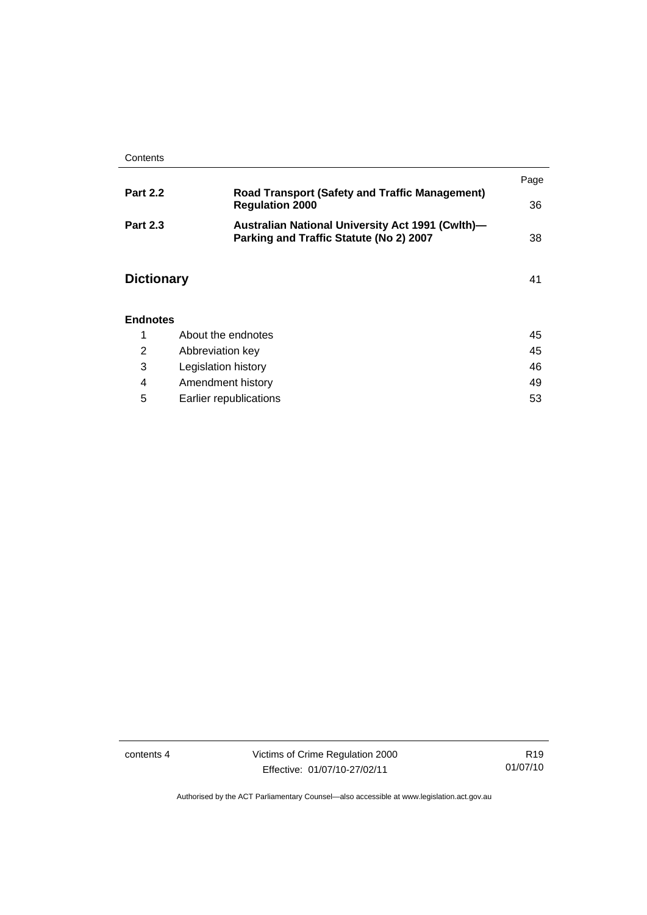|                   |                                                                                                    | Page |
|-------------------|----------------------------------------------------------------------------------------------------|------|
| <b>Part 2.2</b>   | <b>Road Transport (Safety and Traffic Management)</b><br><b>Regulation 2000</b>                    | 36   |
| <b>Part 2.3</b>   | <b>Australian National University Act 1991 (Cwlth)-</b><br>Parking and Traffic Statute (No 2) 2007 | 38   |
| <b>Dictionary</b> |                                                                                                    | 41   |
| <b>Endnotes</b>   |                                                                                                    |      |
| 1                 | About the endnotes                                                                                 | 45   |
| 2                 | Abbreviation key                                                                                   | 45   |

|   | Legislation history    | 46 |
|---|------------------------|----|
|   | Amendment history      | 49 |
| 5 | Earlier republications | 53 |

contents 4 Victims of Crime Regulation 2000 Effective: 01/07/10-27/02/11

R19 01/07/10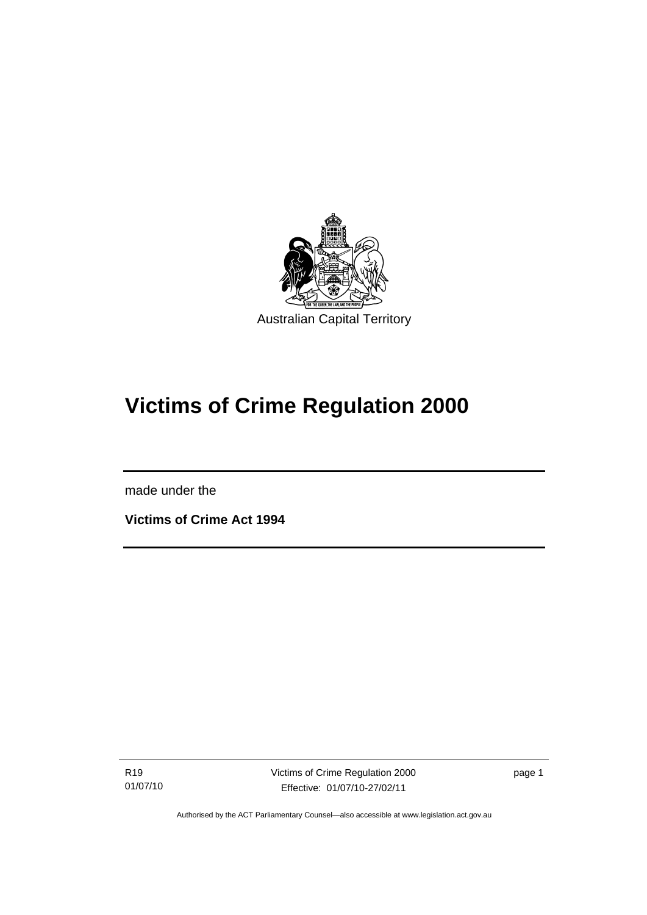<span id="page-6-0"></span>

# **Victims of Crime Regulation 2000**

made under the

l

**Victims of Crime Act 1994** 

R19 01/07/10 Victims of Crime Regulation 2000 Effective: 01/07/10-27/02/11

page 1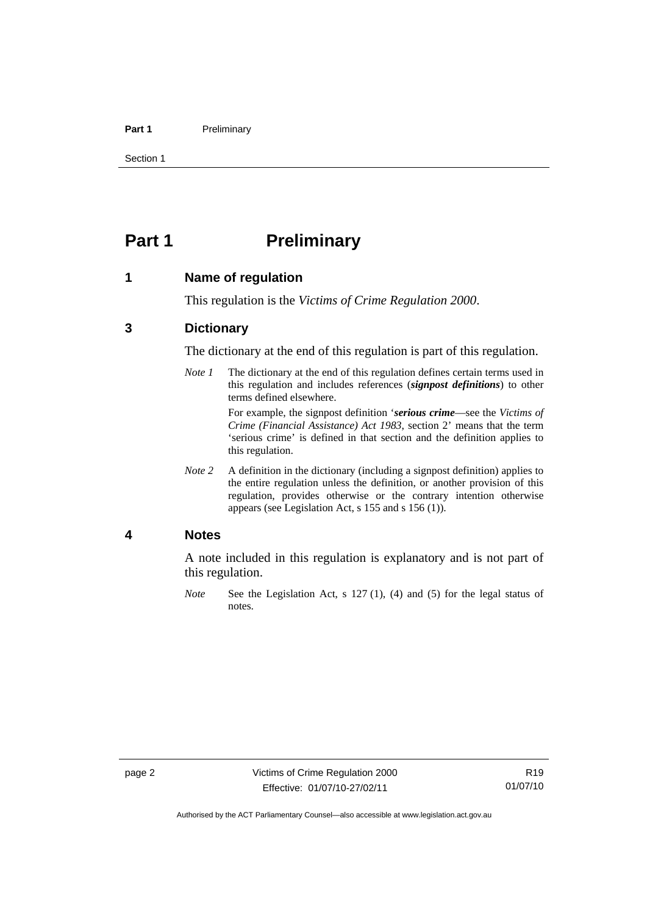#### <span id="page-7-0"></span>Part 1 **Preliminary**

Section 1

## **Part 1** Preliminary

#### **1 Name of regulation**

This regulation is the *Victims of Crime Regulation 2000*.

### **3 Dictionary**

The dictionary at the end of this regulation is part of this regulation.

*Note 1* The dictionary at the end of this regulation defines certain terms used in this regulation and includes references (*signpost definitions*) to other terms defined elsewhere.

> For example, the signpost definition '*serious crime*—see the *Victims of Crime (Financial Assistance) Act 1983*, section 2' means that the term 'serious crime' is defined in that section and the definition applies to this regulation.

*Note 2* A definition in the dictionary (including a signpost definition) applies to the entire regulation unless the definition, or another provision of this regulation, provides otherwise or the contrary intention otherwise appears (see Legislation Act, s 155 and s 156 (1)).

#### **4 Notes**

A note included in this regulation is explanatory and is not part of this regulation.

*Note* See the Legislation Act, s 127 (1), (4) and (5) for the legal status of notes.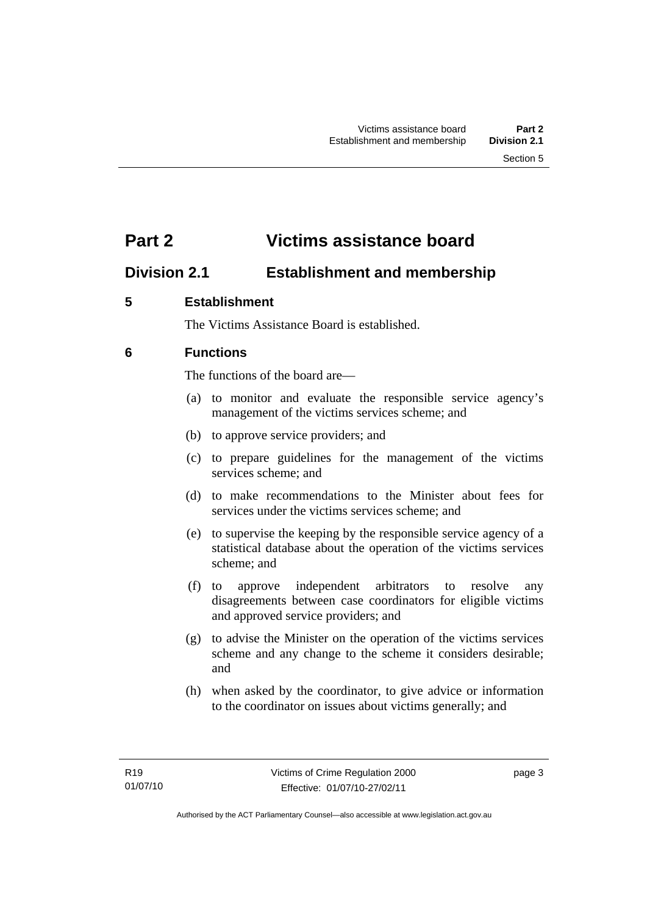## <span id="page-8-0"></span>**Part 2 Victims assistance board**

## **Division 2.1 Establishment and membership**

## **5 Establishment**

The Victims Assistance Board is established.

## **6 Functions**

The functions of the board are—

- (a) to monitor and evaluate the responsible service agency's management of the victims services scheme; and
- (b) to approve service providers; and
- (c) to prepare guidelines for the management of the victims services scheme; and
- (d) to make recommendations to the Minister about fees for services under the victims services scheme; and
- (e) to supervise the keeping by the responsible service agency of a statistical database about the operation of the victims services scheme; and
- (f) to approve independent arbitrators to resolve any disagreements between case coordinators for eligible victims and approved service providers; and
- (g) to advise the Minister on the operation of the victims services scheme and any change to the scheme it considers desirable; and
- (h) when asked by the coordinator, to give advice or information to the coordinator on issues about victims generally; and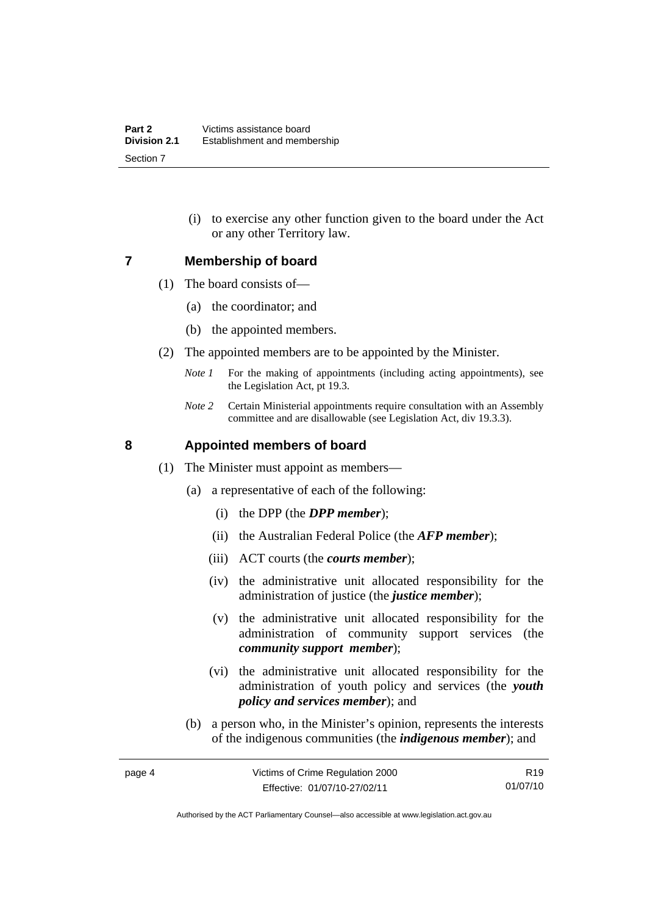(i) to exercise any other function given to the board under the Act or any other Territory law.

#### <span id="page-9-0"></span>**7 Membership of board**

- (1) The board consists of—
	- (a) the coordinator; and
	- (b) the appointed members.
- (2) The appointed members are to be appointed by the Minister.
	- *Note 1* For the making of appointments (including acting appointments), see the Legislation Act, pt 19.3.
	- *Note 2* Certain Ministerial appointments require consultation with an Assembly committee and are disallowable (see Legislation Act, div 19.3.3).

### **8 Appointed members of board**

- (1) The Minister must appoint as members—
	- (a) a representative of each of the following:
		- (i) the DPP (the *DPP member*);
		- (ii) the Australian Federal Police (the *AFP member*);
		- (iii) ACT courts (the *courts member*);
		- (iv) the administrative unit allocated responsibility for the administration of justice (the *justice member*);
		- (v) the administrative unit allocated responsibility for the administration of community support services (the *community support member*);
		- (vi) the administrative unit allocated responsibility for the administration of youth policy and services (the *youth policy and services member*); and
	- (b) a person who, in the Minister's opinion, represents the interests of the indigenous communities (the *indigenous member*); and

R19 01/07/10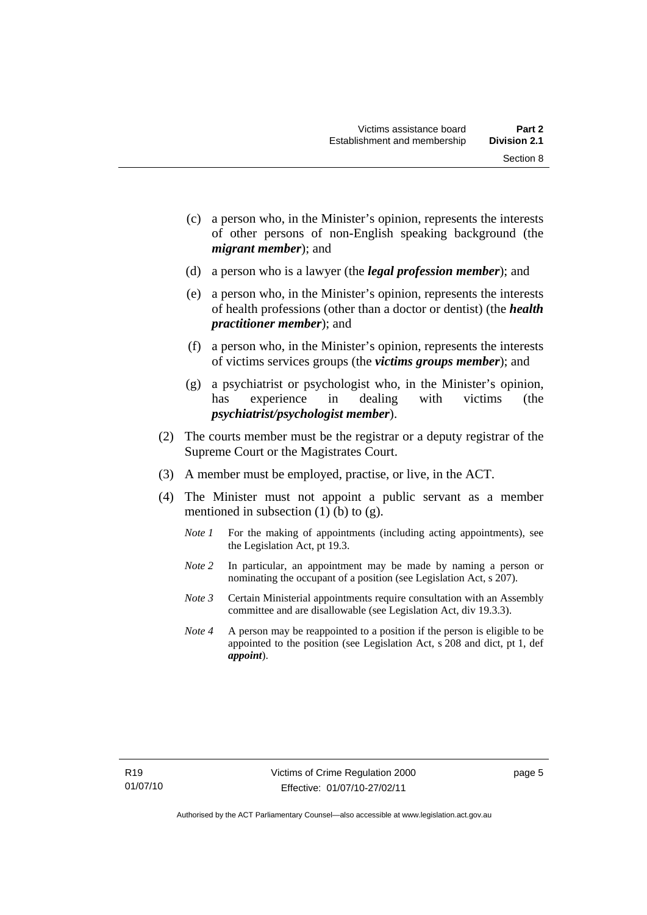Section 8

- (c) a person who, in the Minister's opinion, represents the interests of other persons of non-English speaking background (the
- (d) a person who is a lawyer (the *legal profession member*); and

*migrant member*); and

- (e) a person who, in the Minister's opinion, represents the interests of health professions (other than a doctor or dentist) (the *health practitioner member*); and
- (f) a person who, in the Minister's opinion, represents the interests of victims services groups (the *victims groups member*); and
- (g) a psychiatrist or psychologist who, in the Minister's opinion, has experience in dealing with victims (the *psychiatrist/psychologist member*).
- (2) The courts member must be the registrar or a deputy registrar of the Supreme Court or the Magistrates Court.
- (3) A member must be employed, practise, or live, in the ACT.
- (4) The Minister must not appoint a public servant as a member mentioned in subsection  $(1)$  (b) to  $(g)$ .
	- *Note 1* For the making of appointments (including acting appointments), see the Legislation Act, pt 19.3.
	- *Note 2* In particular, an appointment may be made by naming a person or nominating the occupant of a position (see Legislation Act, s 207).
	- *Note 3* Certain Ministerial appointments require consultation with an Assembly committee and are disallowable (see Legislation Act, div 19.3.3).
	- *Note 4* A person may be reappointed to a position if the person is eligible to be appointed to the position (see Legislation Act, s 208 and dict, pt 1, def *appoint*).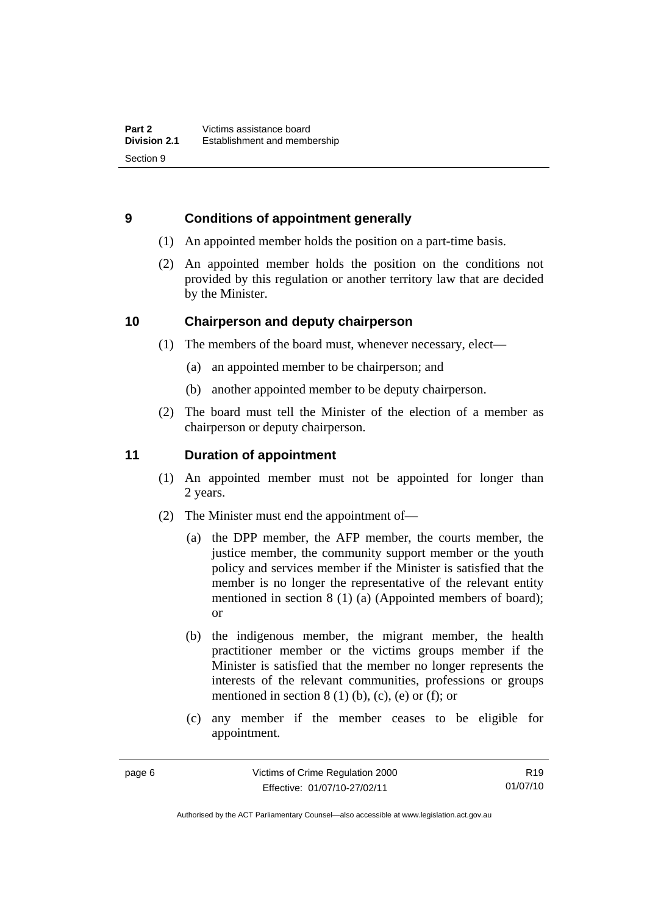## <span id="page-11-0"></span>**9 Conditions of appointment generally**

- (1) An appointed member holds the position on a part-time basis.
- (2) An appointed member holds the position on the conditions not provided by this regulation or another territory law that are decided by the Minister.

### **10 Chairperson and deputy chairperson**

- (1) The members of the board must, whenever necessary, elect—
	- (a) an appointed member to be chairperson; and
	- (b) another appointed member to be deputy chairperson.
- (2) The board must tell the Minister of the election of a member as chairperson or deputy chairperson.

## **11 Duration of appointment**

- (1) An appointed member must not be appointed for longer than 2 years.
- (2) The Minister must end the appointment of—
	- (a) the DPP member, the AFP member, the courts member, the justice member, the community support member or the youth policy and services member if the Minister is satisfied that the member is no longer the representative of the relevant entity mentioned in section 8 (1) (a) (Appointed members of board); or
	- (b) the indigenous member, the migrant member, the health practitioner member or the victims groups member if the Minister is satisfied that the member no longer represents the interests of the relevant communities, professions or groups mentioned in section  $8(1)$  (b), (c), (e) or (f); or
	- (c) any member if the member ceases to be eligible for appointment.

R19 01/07/10

Authorised by the ACT Parliamentary Counsel—also accessible at www.legislation.act.gov.au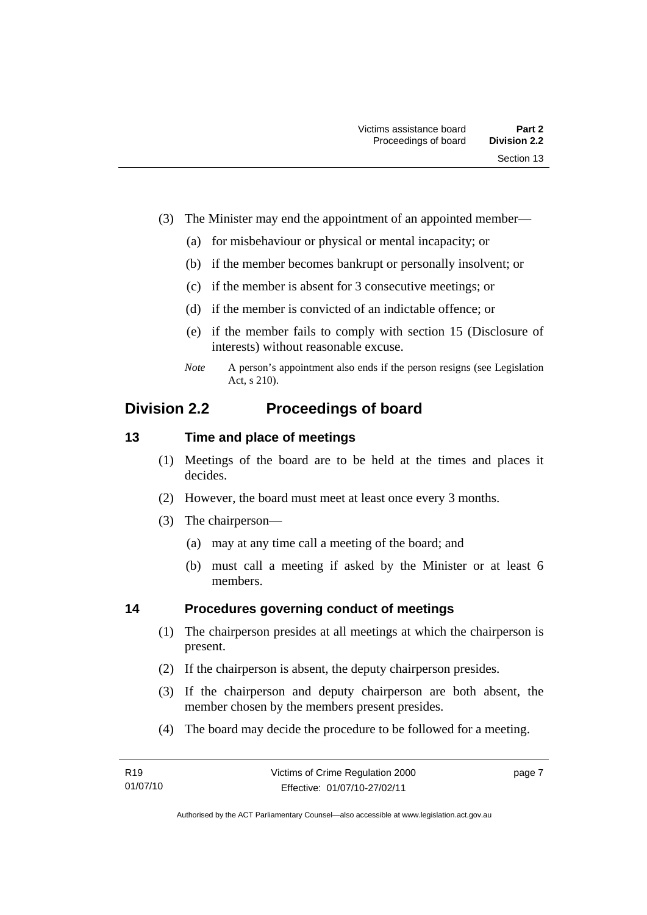- <span id="page-12-0"></span> (3) The Minister may end the appointment of an appointed member—
	- (a) for misbehaviour or physical or mental incapacity; or
	- (b) if the member becomes bankrupt or personally insolvent; or
	- (c) if the member is absent for 3 consecutive meetings; or
	- (d) if the member is convicted of an indictable offence; or
	- (e) if the member fails to comply with section 15 (Disclosure of interests) without reasonable excuse.
	- *Note* A person's appointment also ends if the person resigns (see Legislation Act, s 210).

## **Division 2.2 Proceedings of board**

## **13 Time and place of meetings**

- (1) Meetings of the board are to be held at the times and places it decides.
- (2) However, the board must meet at least once every 3 months.
- (3) The chairperson—
	- (a) may at any time call a meeting of the board; and
	- (b) must call a meeting if asked by the Minister or at least 6 members.

## **14 Procedures governing conduct of meetings**

- (1) The chairperson presides at all meetings at which the chairperson is present.
- (2) If the chairperson is absent, the deputy chairperson presides.
- (3) If the chairperson and deputy chairperson are both absent, the member chosen by the members present presides.
- (4) The board may decide the procedure to be followed for a meeting.

page 7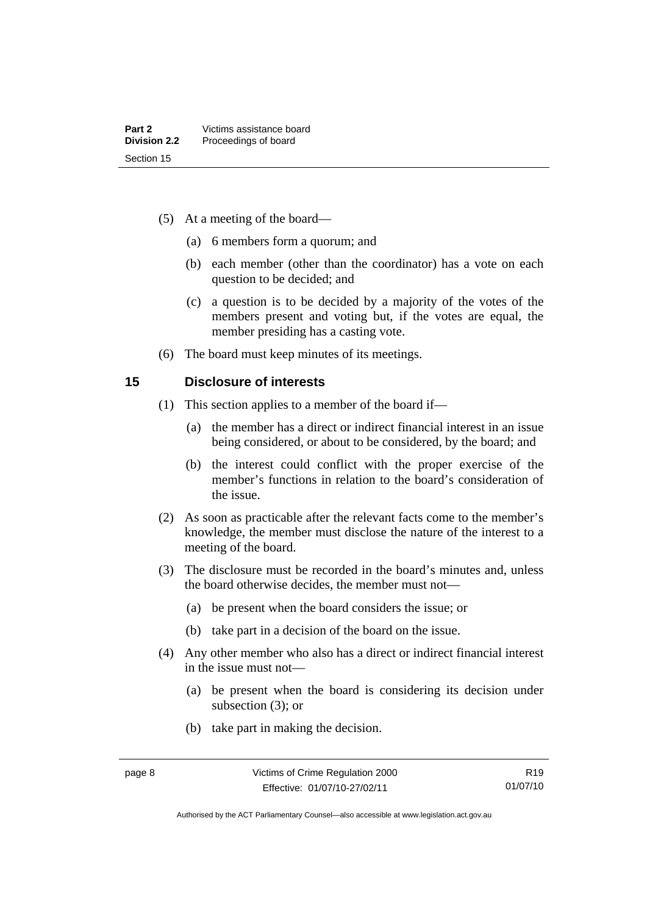- <span id="page-13-0"></span> (5) At a meeting of the board—
	- (a) 6 members form a quorum; and
	- (b) each member (other than the coordinator) has a vote on each question to be decided; and
	- (c) a question is to be decided by a majority of the votes of the members present and voting but, if the votes are equal, the member presiding has a casting vote.
- (6) The board must keep minutes of its meetings.

#### **15 Disclosure of interests**

- (1) This section applies to a member of the board if—
	- (a) the member has a direct or indirect financial interest in an issue being considered, or about to be considered, by the board; and
	- (b) the interest could conflict with the proper exercise of the member's functions in relation to the board's consideration of the issue.
- (2) As soon as practicable after the relevant facts come to the member's knowledge, the member must disclose the nature of the interest to a meeting of the board.
- (3) The disclosure must be recorded in the board's minutes and, unless the board otherwise decides, the member must not—
	- (a) be present when the board considers the issue; or
	- (b) take part in a decision of the board on the issue.
- (4) Any other member who also has a direct or indirect financial interest in the issue must not—
	- (a) be present when the board is considering its decision under subsection (3); or
	- (b) take part in making the decision.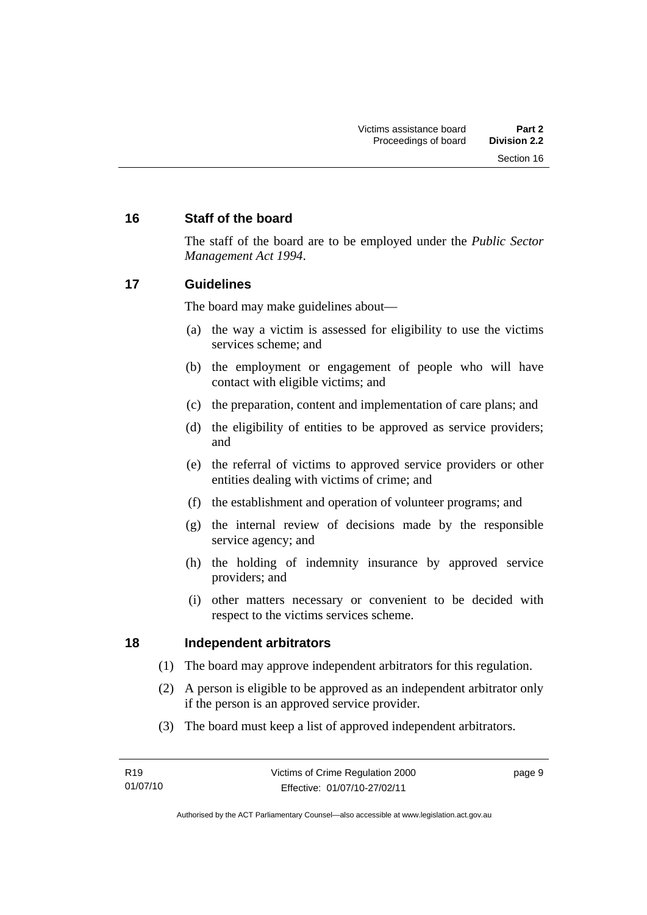## <span id="page-14-0"></span>**16 Staff of the board**

The staff of the board are to be employed under the *Public Sector Management Act 1994*.

### **17 Guidelines**

The board may make guidelines about—

- (a) the way a victim is assessed for eligibility to use the victims services scheme; and
- (b) the employment or engagement of people who will have contact with eligible victims; and
- (c) the preparation, content and implementation of care plans; and
- (d) the eligibility of entities to be approved as service providers; and
- (e) the referral of victims to approved service providers or other entities dealing with victims of crime; and
- (f) the establishment and operation of volunteer programs; and
- (g) the internal review of decisions made by the responsible service agency; and
- (h) the holding of indemnity insurance by approved service providers; and
- (i) other matters necessary or convenient to be decided with respect to the victims services scheme.

### **18 Independent arbitrators**

- (1) The board may approve independent arbitrators for this regulation.
- (2) A person is eligible to be approved as an independent arbitrator only if the person is an approved service provider.
- (3) The board must keep a list of approved independent arbitrators.

page 9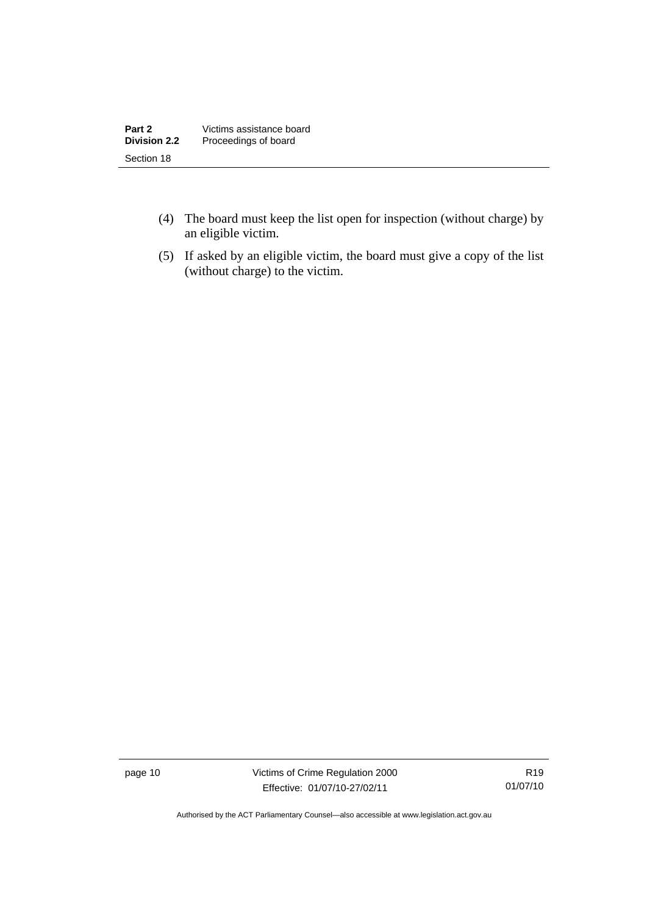| Part 2              | Victims assistance board |
|---------------------|--------------------------|
| <b>Division 2.2</b> | Proceedings of board     |
| Section 18          |                          |

- (4) The board must keep the list open for inspection (without charge) by an eligible victim.
- (5) If asked by an eligible victim, the board must give a copy of the list (without charge) to the victim.

page 10 Victims of Crime Regulation 2000 Effective: 01/07/10-27/02/11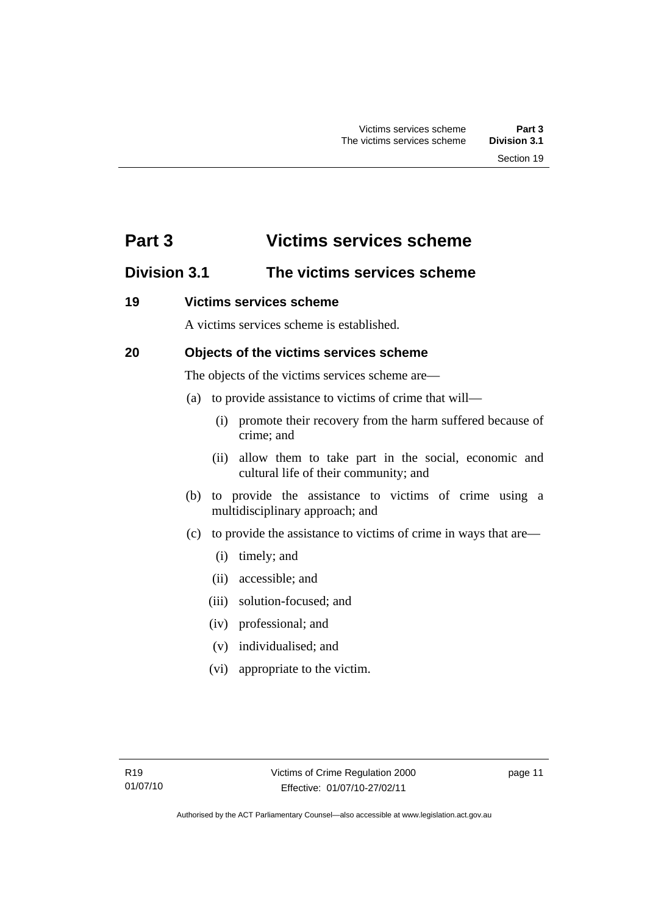## <span id="page-16-0"></span>**Part 3 Victims services scheme**

## **Division 3.1 The victims services scheme**

### **19 Victims services scheme**

A victims services scheme is established.

## **20 Objects of the victims services scheme**

The objects of the victims services scheme are—

- (a) to provide assistance to victims of crime that will—
	- (i) promote their recovery from the harm suffered because of crime; and
	- (ii) allow them to take part in the social, economic and cultural life of their community; and
- (b) to provide the assistance to victims of crime using a multidisciplinary approach; and
- (c) to provide the assistance to victims of crime in ways that are—
	- (i) timely; and
	- (ii) accessible; and
	- (iii) solution-focused; and
	- (iv) professional; and
	- (v) individualised; and
	- (vi) appropriate to the victim.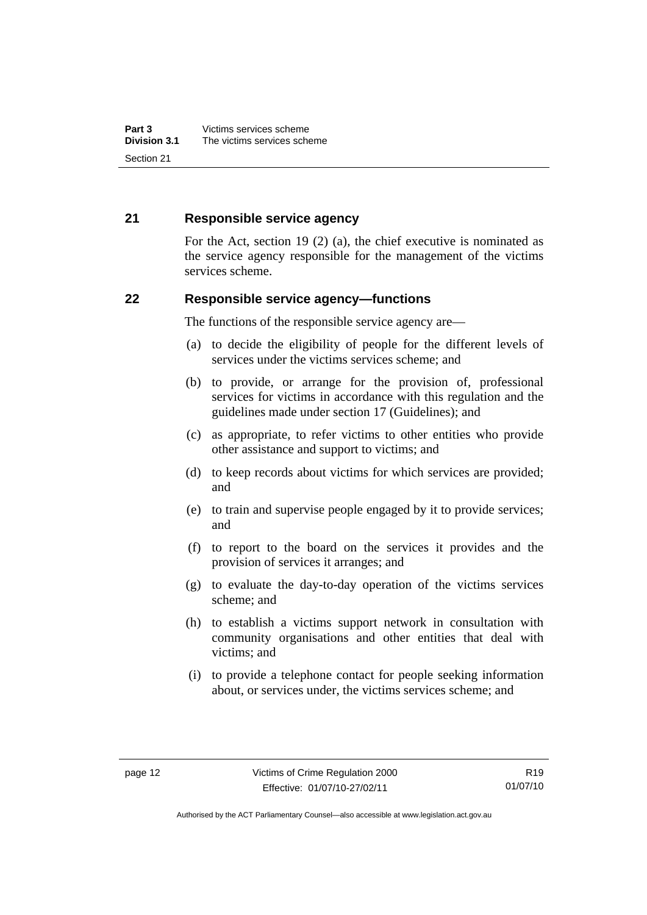### <span id="page-17-0"></span>**21 Responsible service agency**

For the Act, section 19 (2) (a), the chief executive is nominated as the service agency responsible for the management of the victims services scheme.

#### **22 Responsible service agency—functions**

The functions of the responsible service agency are—

- (a) to decide the eligibility of people for the different levels of services under the victims services scheme; and
- (b) to provide, or arrange for the provision of, professional services for victims in accordance with this regulation and the guidelines made under section 17 (Guidelines); and
- (c) as appropriate, to refer victims to other entities who provide other assistance and support to victims; and
- (d) to keep records about victims for which services are provided; and
- (e) to train and supervise people engaged by it to provide services; and
- (f) to report to the board on the services it provides and the provision of services it arranges; and
- (g) to evaluate the day-to-day operation of the victims services scheme; and
- (h) to establish a victims support network in consultation with community organisations and other entities that deal with victims; and
- (i) to provide a telephone contact for people seeking information about, or services under, the victims services scheme; and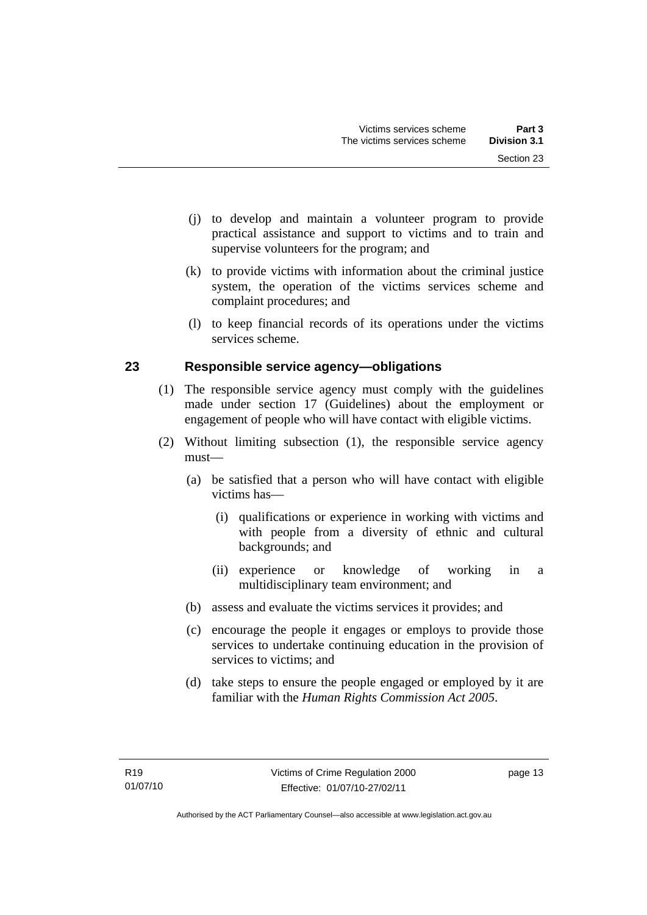- <span id="page-18-0"></span> (j) to develop and maintain a volunteer program to provide practical assistance and support to victims and to train and supervise volunteers for the program; and
- (k) to provide victims with information about the criminal justice system, the operation of the victims services scheme and complaint procedures; and
- (l) to keep financial records of its operations under the victims services scheme.

## **23 Responsible service agency—obligations**

- (1) The responsible service agency must comply with the guidelines made under section 17 (Guidelines) about the employment or engagement of people who will have contact with eligible victims.
- (2) Without limiting subsection (1), the responsible service agency must—
	- (a) be satisfied that a person who will have contact with eligible victims has—
		- (i) qualifications or experience in working with victims and with people from a diversity of ethnic and cultural backgrounds; and
		- (ii) experience or knowledge of working in a multidisciplinary team environment; and
	- (b) assess and evaluate the victims services it provides; and
	- (c) encourage the people it engages or employs to provide those services to undertake continuing education in the provision of services to victims; and
	- (d) take steps to ensure the people engaged or employed by it are familiar with the *Human Rights Commission Act 2005*.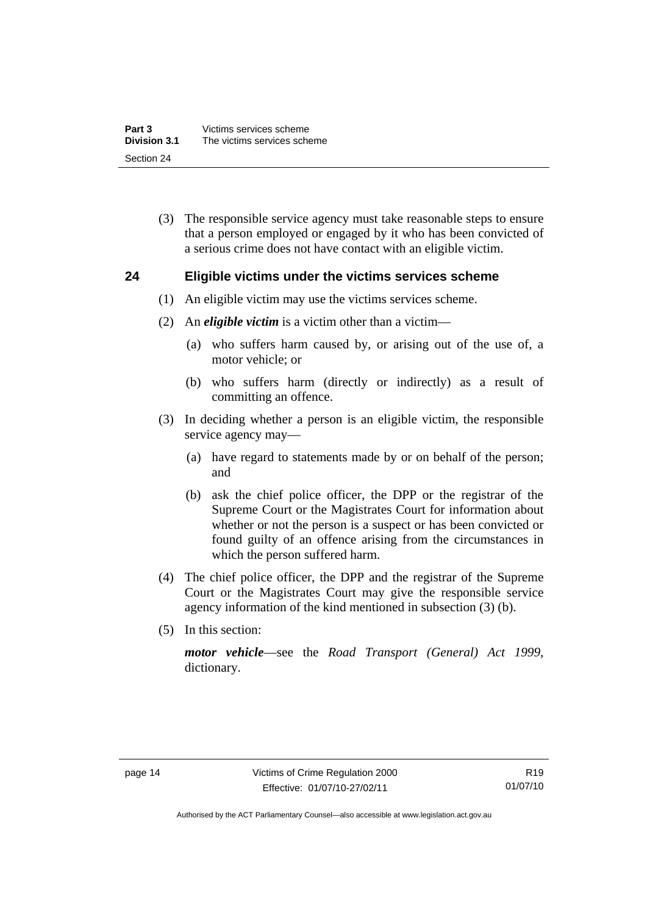<span id="page-19-0"></span> (3) The responsible service agency must take reasonable steps to ensure that a person employed or engaged by it who has been convicted of a serious crime does not have contact with an eligible victim.

#### **24 Eligible victims under the victims services scheme**

- (1) An eligible victim may use the victims services scheme.
- (2) An *eligible victim* is a victim other than a victim—
	- (a) who suffers harm caused by, or arising out of the use of, a motor vehicle; or
	- (b) who suffers harm (directly or indirectly) as a result of committing an offence.
- (3) In deciding whether a person is an eligible victim, the responsible service agency may—
	- (a) have regard to statements made by or on behalf of the person; and
	- (b) ask the chief police officer, the DPP or the registrar of the Supreme Court or the Magistrates Court for information about whether or not the person is a suspect or has been convicted or found guilty of an offence arising from the circumstances in which the person suffered harm.
- (4) The chief police officer, the DPP and the registrar of the Supreme Court or the Magistrates Court may give the responsible service agency information of the kind mentioned in subsection (3) (b).
- (5) In this section:

*motor vehicle*—see the *Road Transport (General) Act 1999*, dictionary.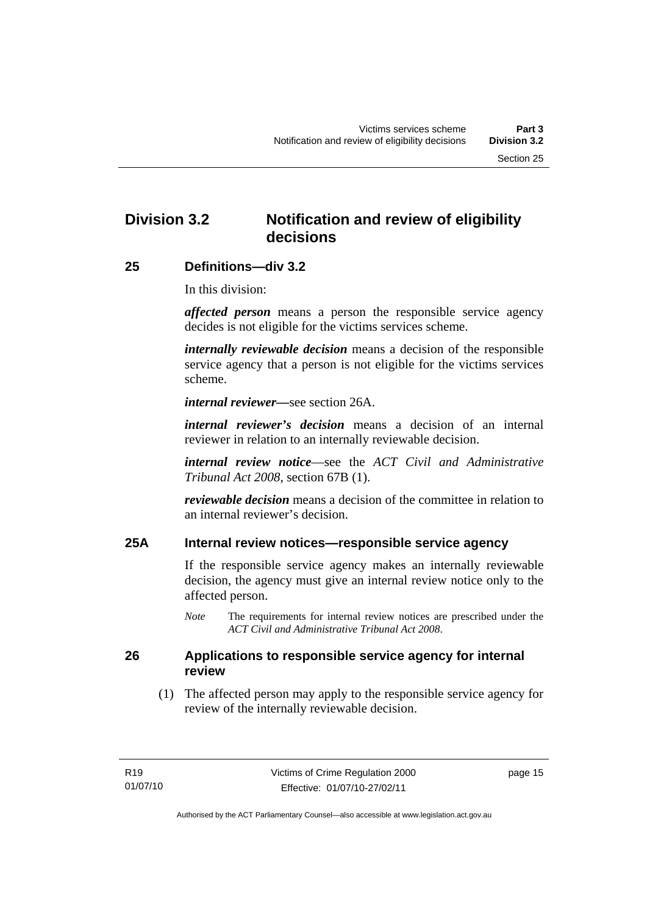## <span id="page-20-0"></span>**Division 3.2 Notification and review of eligibility decisions**

#### **25 Definitions—div 3.2**

In this division:

*affected person* means a person the responsible service agency decides is not eligible for the victims services scheme.

*internally reviewable decision* means a decision of the responsible service agency that a person is not eligible for the victims services scheme.

*internal reviewer—*see section 26A.

*internal reviewer's decision* means a decision of an internal reviewer in relation to an internally reviewable decision.

*internal review notice*—see the *ACT Civil and Administrative Tribunal Act 2008*, section 67B (1).

*reviewable decision* means a decision of the committee in relation to an internal reviewer's decision.

### **25A Internal review notices—responsible service agency**

If the responsible service agency makes an internally reviewable decision, the agency must give an internal review notice only to the affected person.

*Note* The requirements for internal review notices are prescribed under the *ACT Civil and Administrative Tribunal Act 2008*.

#### **26 Applications to responsible service agency for internal review**

 (1) The affected person may apply to the responsible service agency for review of the internally reviewable decision.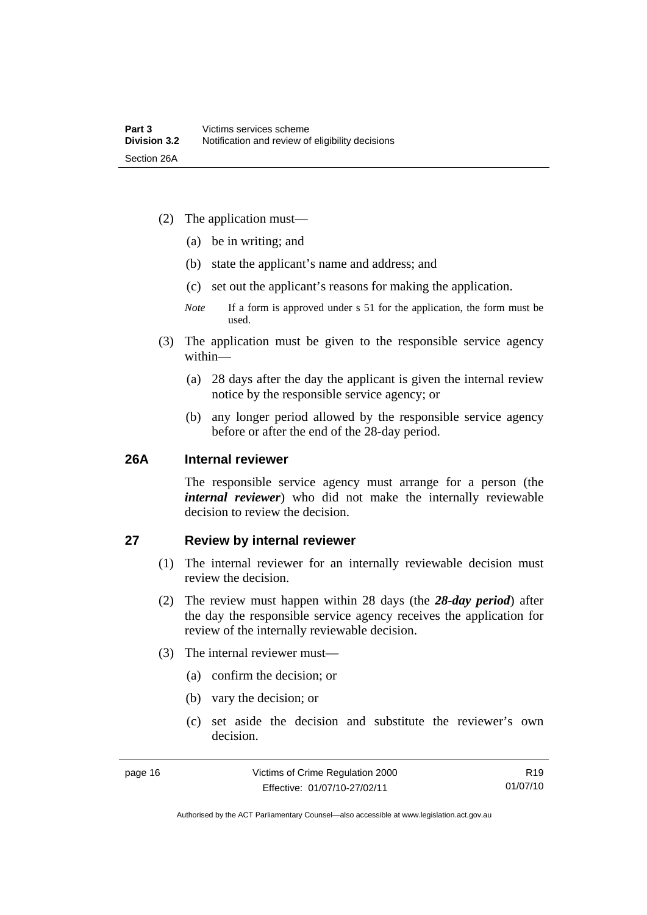- <span id="page-21-0"></span> (2) The application must—
	- (a) be in writing; and
	- (b) state the applicant's name and address; and
	- (c) set out the applicant's reasons for making the application.
	- *Note* If a form is approved under s 51 for the application, the form must be used.
- (3) The application must be given to the responsible service agency within—
	- (a) 28 days after the day the applicant is given the internal review notice by the responsible service agency; or
	- (b) any longer period allowed by the responsible service agency before or after the end of the 28-day period.

#### **26A Internal reviewer**

The responsible service agency must arrange for a person (the *internal reviewer*) who did not make the internally reviewable decision to review the decision.

#### **27 Review by internal reviewer**

- (1) The internal reviewer for an internally reviewable decision must review the decision.
- (2) The review must happen within 28 days (the *28-day period*) after the day the responsible service agency receives the application for review of the internally reviewable decision.
- (3) The internal reviewer must—
	- (a) confirm the decision; or
	- (b) vary the decision; or
	- (c) set aside the decision and substitute the reviewer's own decision.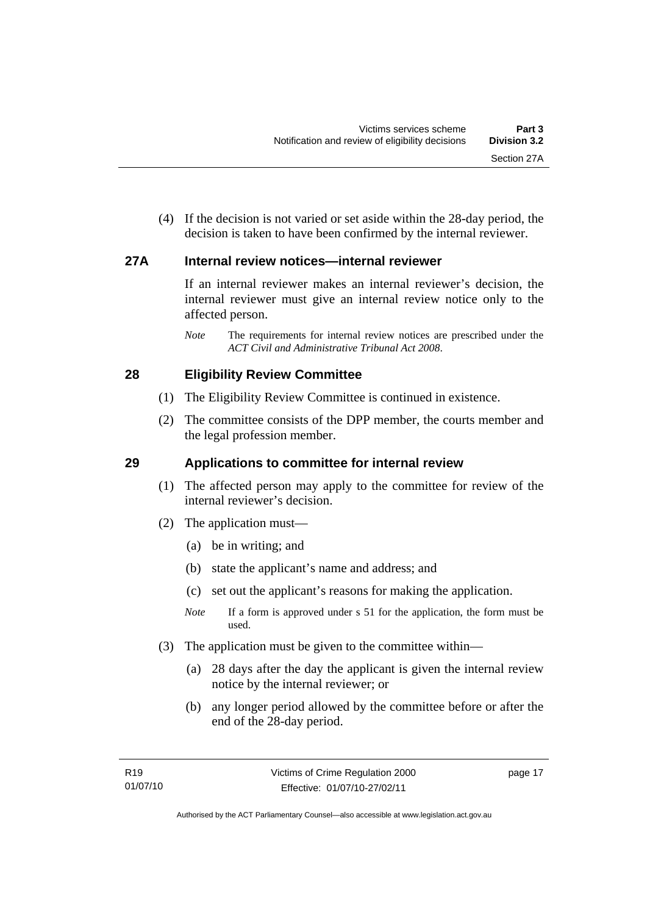<span id="page-22-0"></span> (4) If the decision is not varied or set aside within the 28-day period, the decision is taken to have been confirmed by the internal reviewer.

#### **27A Internal review notices—internal reviewer**

If an internal reviewer makes an internal reviewer's decision, the internal reviewer must give an internal review notice only to the affected person.

*Note* The requirements for internal review notices are prescribed under the *ACT Civil and Administrative Tribunal Act 2008*.

### **28 Eligibility Review Committee**

- (1) The Eligibility Review Committee is continued in existence.
- (2) The committee consists of the DPP member, the courts member and the legal profession member.

## **29 Applications to committee for internal review**

- (1) The affected person may apply to the committee for review of the internal reviewer's decision.
- (2) The application must—
	- (a) be in writing; and
	- (b) state the applicant's name and address; and
	- (c) set out the applicant's reasons for making the application.
	- *Note* If a form is approved under s 51 for the application, the form must be used.
- (3) The application must be given to the committee within—
	- (a) 28 days after the day the applicant is given the internal review notice by the internal reviewer; or
	- (b) any longer period allowed by the committee before or after the end of the 28-day period.

page 17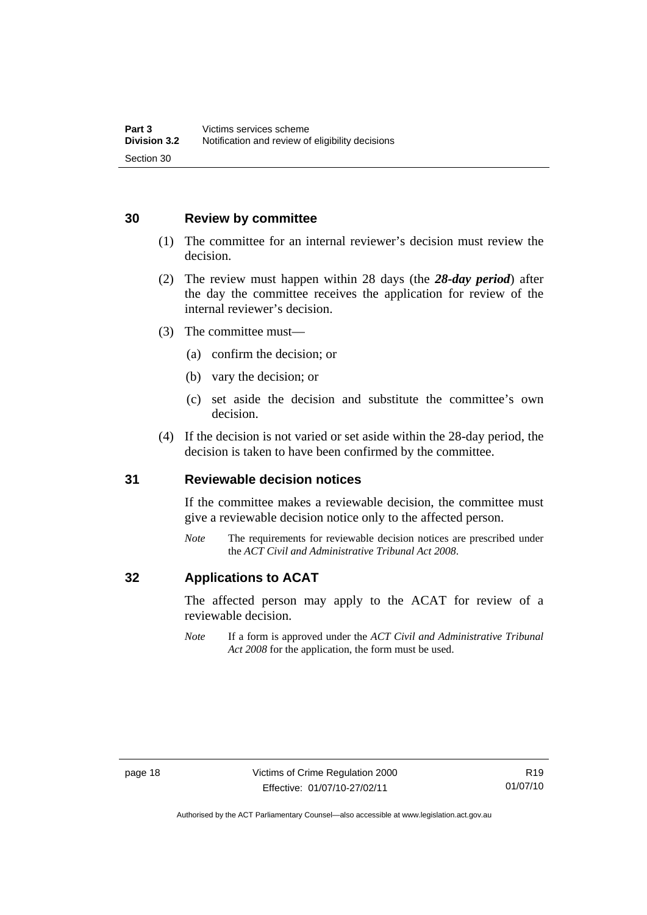### <span id="page-23-0"></span>**30 Review by committee**

- (1) The committee for an internal reviewer's decision must review the decision.
- (2) The review must happen within 28 days (the *28-day period*) after the day the committee receives the application for review of the internal reviewer's decision.
- (3) The committee must—
	- (a) confirm the decision; or
	- (b) vary the decision; or
	- (c) set aside the decision and substitute the committee's own decision.
- (4) If the decision is not varied or set aside within the 28-day period, the decision is taken to have been confirmed by the committee.

#### **31 Reviewable decision notices**

If the committee makes a reviewable decision, the committee must give a reviewable decision notice only to the affected person.

*Note* The requirements for reviewable decision notices are prescribed under the *ACT Civil and Administrative Tribunal Act 2008*.

## **32 Applications to ACAT**

The affected person may apply to the ACAT for review of a reviewable decision.

*Note* If a form is approved under the *ACT Civil and Administrative Tribunal Act 2008* for the application, the form must be used.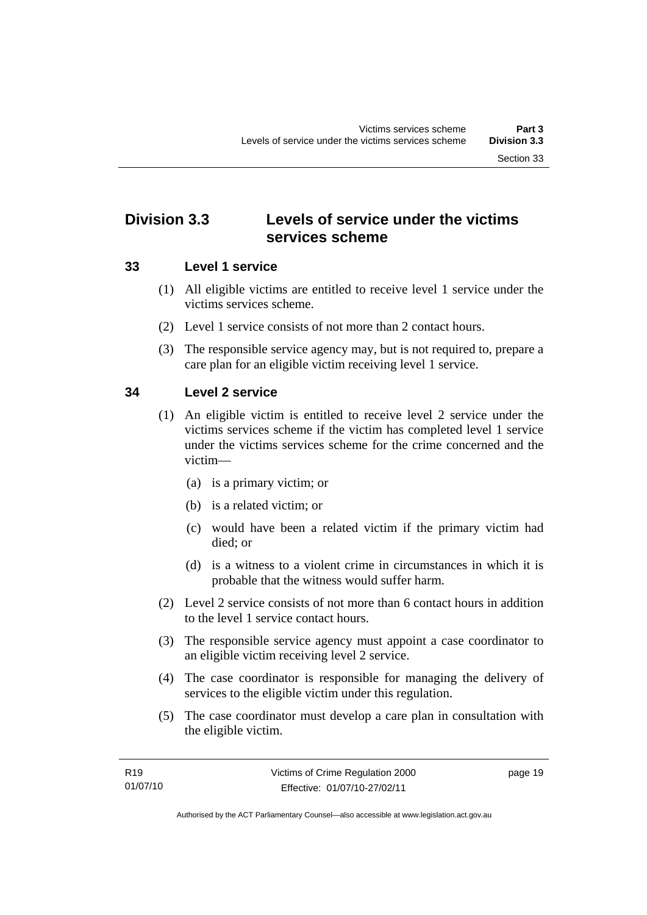## <span id="page-24-0"></span>**Division 3.3 Levels of service under the victims services scheme**

## **33 Level 1 service**

- (1) All eligible victims are entitled to receive level 1 service under the victims services scheme.
- (2) Level 1 service consists of not more than 2 contact hours.
- (3) The responsible service agency may, but is not required to, prepare a care plan for an eligible victim receiving level 1 service.

## **34 Level 2 service**

- (1) An eligible victim is entitled to receive level 2 service under the victims services scheme if the victim has completed level 1 service under the victims services scheme for the crime concerned and the victim—
	- (a) is a primary victim; or
	- (b) is a related victim; or
	- (c) would have been a related victim if the primary victim had died; or
	- (d) is a witness to a violent crime in circumstances in which it is probable that the witness would suffer harm.
- (2) Level 2 service consists of not more than 6 contact hours in addition to the level 1 service contact hours.
- (3) The responsible service agency must appoint a case coordinator to an eligible victim receiving level 2 service.
- (4) The case coordinator is responsible for managing the delivery of services to the eligible victim under this regulation.
- (5) The case coordinator must develop a care plan in consultation with the eligible victim.

page 19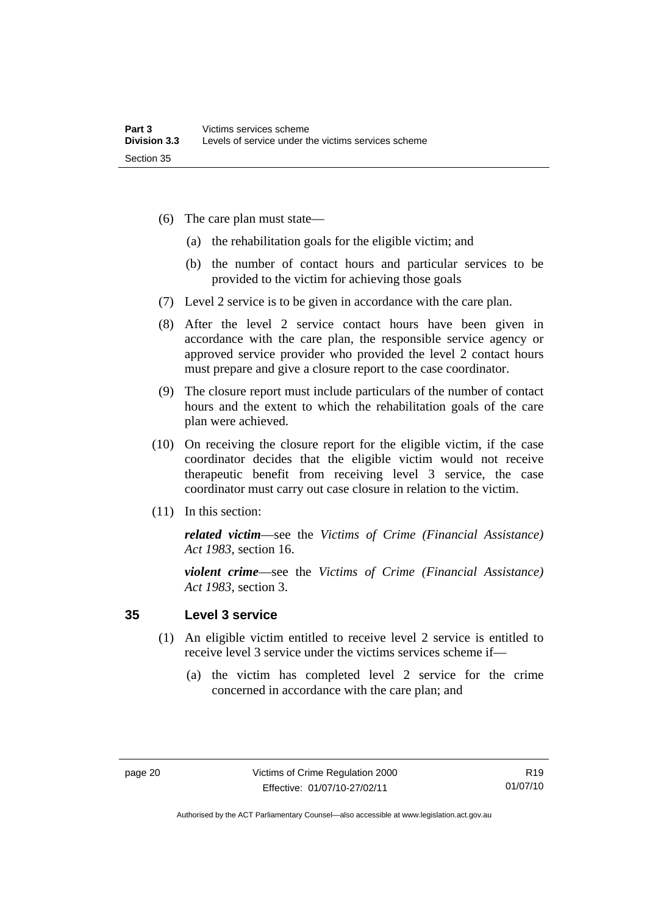- <span id="page-25-0"></span> (6) The care plan must state—
	- (a) the rehabilitation goals for the eligible victim; and
	- (b) the number of contact hours and particular services to be provided to the victim for achieving those goals
- (7) Level 2 service is to be given in accordance with the care plan.
- (8) After the level 2 service contact hours have been given in accordance with the care plan, the responsible service agency or approved service provider who provided the level 2 contact hours must prepare and give a closure report to the case coordinator.
- (9) The closure report must include particulars of the number of contact hours and the extent to which the rehabilitation goals of the care plan were achieved.
- (10) On receiving the closure report for the eligible victim, if the case coordinator decides that the eligible victim would not receive therapeutic benefit from receiving level 3 service, the case coordinator must carry out case closure in relation to the victim.
- (11) In this section:

*related victim*—see the *Victims of Crime (Financial Assistance) Act 1983*, section 16.

*violent crime*—see the *Victims of Crime (Financial Assistance) Act 1983*, section 3.

### **35 Level 3 service**

- (1) An eligible victim entitled to receive level 2 service is entitled to receive level 3 service under the victims services scheme if—
	- (a) the victim has completed level 2 service for the crime concerned in accordance with the care plan; and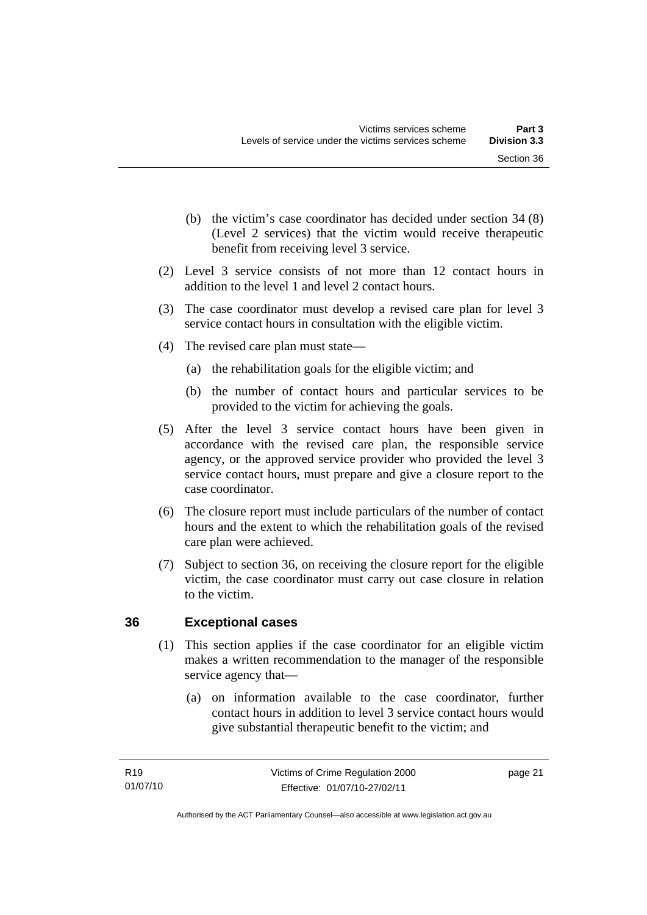- <span id="page-26-0"></span> (b) the victim's case coordinator has decided under section 34 (8) (Level 2 services) that the victim would receive therapeutic benefit from receiving level 3 service.
- (2) Level 3 service consists of not more than 12 contact hours in addition to the level 1 and level 2 contact hours.
- (3) The case coordinator must develop a revised care plan for level 3 service contact hours in consultation with the eligible victim.
- (4) The revised care plan must state—
	- (a) the rehabilitation goals for the eligible victim; and
	- (b) the number of contact hours and particular services to be provided to the victim for achieving the goals.
- (5) After the level 3 service contact hours have been given in accordance with the revised care plan, the responsible service agency, or the approved service provider who provided the level 3 service contact hours, must prepare and give a closure report to the case coordinator.
- (6) The closure report must include particulars of the number of contact hours and the extent to which the rehabilitation goals of the revised care plan were achieved.
- (7) Subject to section 36, on receiving the closure report for the eligible victim, the case coordinator must carry out case closure in relation to the victim.

## **36 Exceptional cases**

- (1) This section applies if the case coordinator for an eligible victim makes a written recommendation to the manager of the responsible service agency that—
	- (a) on information available to the case coordinator, further contact hours in addition to level 3 service contact hours would give substantial therapeutic benefit to the victim; and

page 21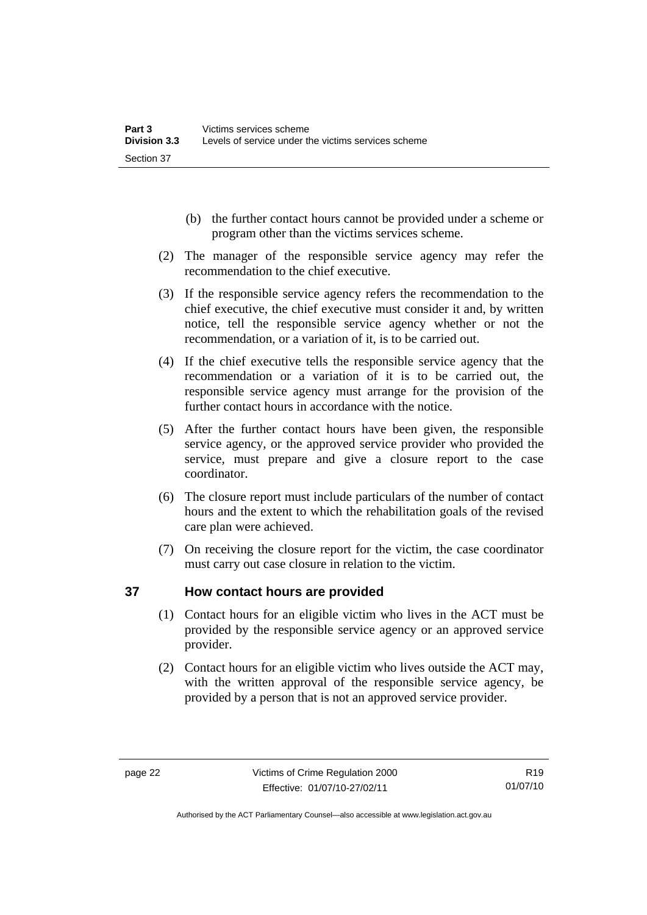- <span id="page-27-0"></span> (b) the further contact hours cannot be provided under a scheme or program other than the victims services scheme.
- (2) The manager of the responsible service agency may refer the recommendation to the chief executive.
- (3) If the responsible service agency refers the recommendation to the chief executive, the chief executive must consider it and, by written notice, tell the responsible service agency whether or not the recommendation, or a variation of it, is to be carried out.
- (4) If the chief executive tells the responsible service agency that the recommendation or a variation of it is to be carried out, the responsible service agency must arrange for the provision of the further contact hours in accordance with the notice.
- (5) After the further contact hours have been given, the responsible service agency, or the approved service provider who provided the service, must prepare and give a closure report to the case coordinator.
- (6) The closure report must include particulars of the number of contact hours and the extent to which the rehabilitation goals of the revised care plan were achieved.
- (7) On receiving the closure report for the victim, the case coordinator must carry out case closure in relation to the victim.

## **37 How contact hours are provided**

- (1) Contact hours for an eligible victim who lives in the ACT must be provided by the responsible service agency or an approved service provider.
- (2) Contact hours for an eligible victim who lives outside the ACT may, with the written approval of the responsible service agency, be provided by a person that is not an approved service provider.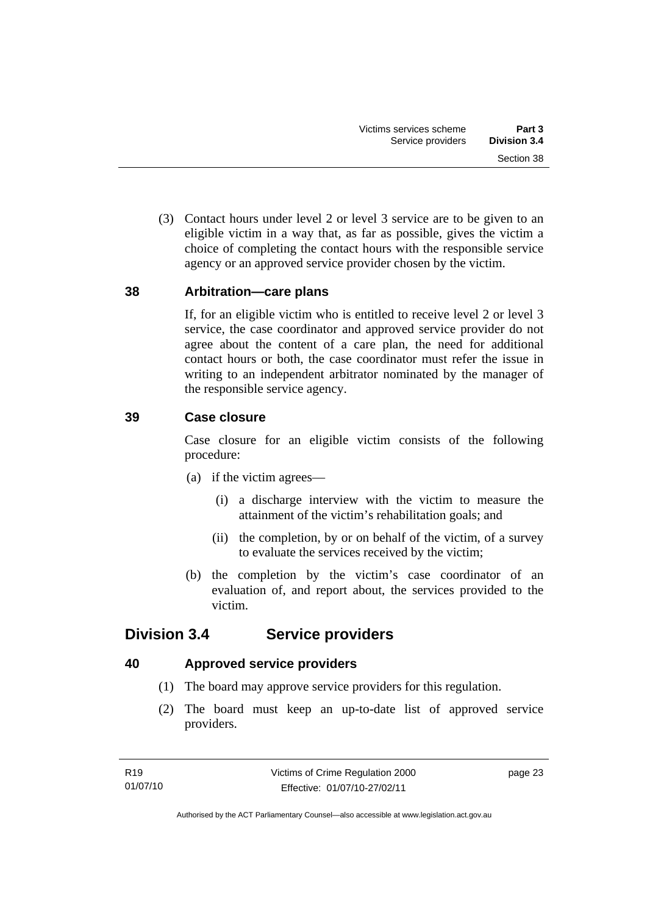<span id="page-28-0"></span> (3) Contact hours under level 2 or level 3 service are to be given to an eligible victim in a way that, as far as possible, gives the victim a choice of completing the contact hours with the responsible service agency or an approved service provider chosen by the victim.

### **38 Arbitration—care plans**

If, for an eligible victim who is entitled to receive level 2 or level 3 service, the case coordinator and approved service provider do not agree about the content of a care plan, the need for additional contact hours or both, the case coordinator must refer the issue in writing to an independent arbitrator nominated by the manager of the responsible service agency.

### **39 Case closure**

Case closure for an eligible victim consists of the following procedure:

- (a) if the victim agrees—
	- (i) a discharge interview with the victim to measure the attainment of the victim's rehabilitation goals; and
	- (ii) the completion, by or on behalf of the victim, of a survey to evaluate the services received by the victim;
- (b) the completion by the victim's case coordinator of an evaluation of, and report about, the services provided to the victim.

## **Division 3.4 Service providers**

## **40 Approved service providers**

- (1) The board may approve service providers for this regulation.
- (2) The board must keep an up-to-date list of approved service providers.

page 23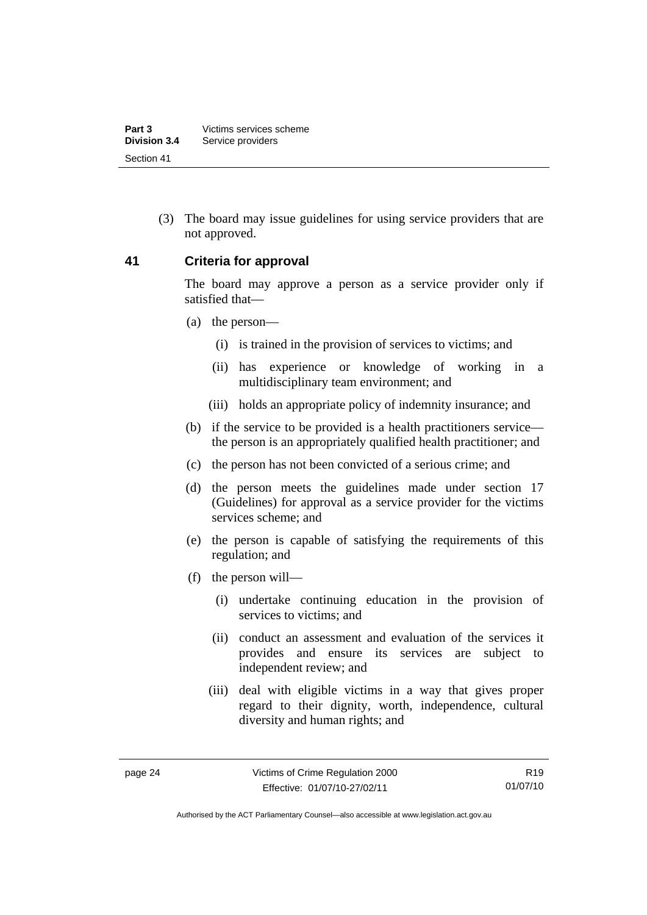<span id="page-29-0"></span> (3) The board may issue guidelines for using service providers that are not approved.

#### **41 Criteria for approval**

The board may approve a person as a service provider only if satisfied that—

- (a) the person—
	- (i) is trained in the provision of services to victims; and
	- (ii) has experience or knowledge of working in a multidisciplinary team environment; and
	- (iii) holds an appropriate policy of indemnity insurance; and
- (b) if the service to be provided is a health practitioners service the person is an appropriately qualified health practitioner; and
- (c) the person has not been convicted of a serious crime; and
- (d) the person meets the guidelines made under section 17 (Guidelines) for approval as a service provider for the victims services scheme; and
- (e) the person is capable of satisfying the requirements of this regulation; and
- (f) the person will—
	- (i) undertake continuing education in the provision of services to victims; and
	- (ii) conduct an assessment and evaluation of the services it provides and ensure its services are subject to independent review; and
	- (iii) deal with eligible victims in a way that gives proper regard to their dignity, worth, independence, cultural diversity and human rights; and

Authorised by the ACT Parliamentary Counsel—also accessible at www.legislation.act.gov.au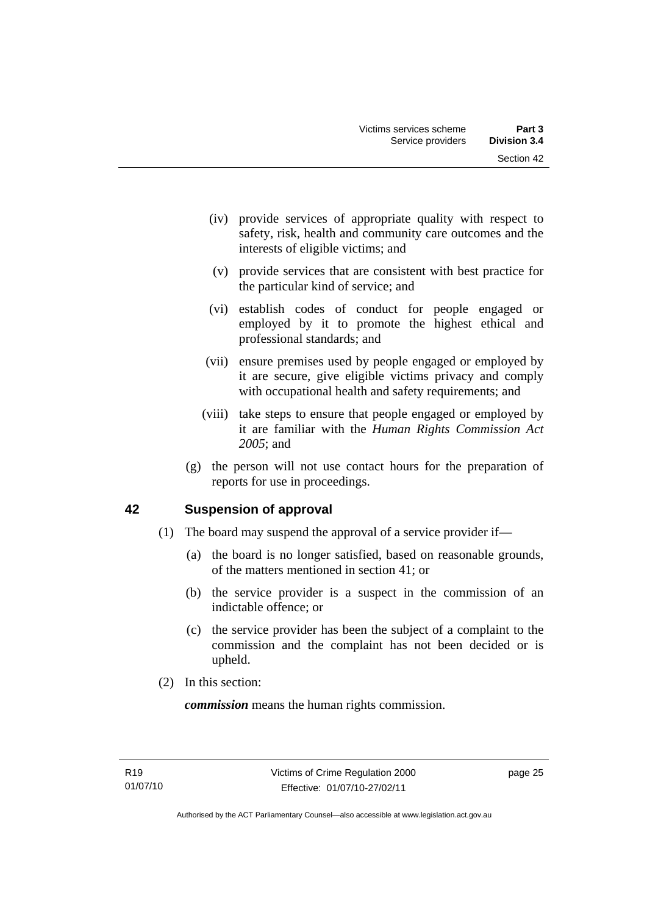- <span id="page-30-0"></span> (iv) provide services of appropriate quality with respect to safety, risk, health and community care outcomes and the interests of eligible victims; and
- (v) provide services that are consistent with best practice for the particular kind of service; and
- (vi) establish codes of conduct for people engaged or employed by it to promote the highest ethical and professional standards; and
- (vii) ensure premises used by people engaged or employed by it are secure, give eligible victims privacy and comply with occupational health and safety requirements; and
- (viii) take steps to ensure that people engaged or employed by it are familiar with the *Human Rights Commission Act 2005*; and
- (g) the person will not use contact hours for the preparation of reports for use in proceedings.

## **42 Suspension of approval**

- (1) The board may suspend the approval of a service provider if—
	- (a) the board is no longer satisfied, based on reasonable grounds, of the matters mentioned in section 41; or
	- (b) the service provider is a suspect in the commission of an indictable offence; or
	- (c) the service provider has been the subject of a complaint to the commission and the complaint has not been decided or is upheld.
- (2) In this section:

*commission* means the human rights commission.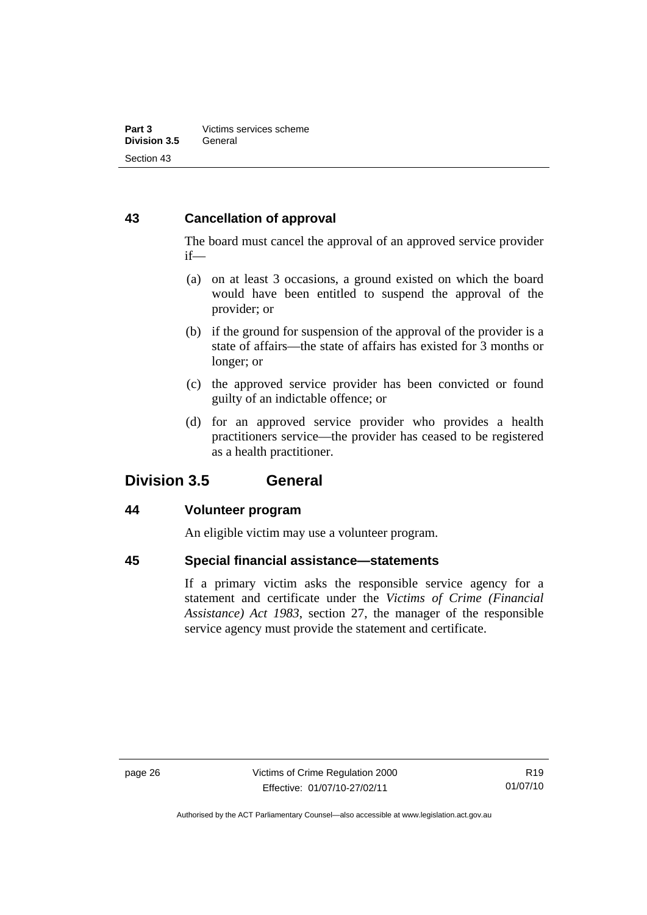## <span id="page-31-0"></span>**43 Cancellation of approval**

The board must cancel the approval of an approved service provider if—

- (a) on at least 3 occasions, a ground existed on which the board would have been entitled to suspend the approval of the provider; or
- (b) if the ground for suspension of the approval of the provider is a state of affairs—the state of affairs has existed for 3 months or longer; or
- (c) the approved service provider has been convicted or found guilty of an indictable offence; or
- (d) for an approved service provider who provides a health practitioners service—the provider has ceased to be registered as a health practitioner.

## **Division 3.5 General**

## **44 Volunteer program**

An eligible victim may use a volunteer program.

## **45 Special financial assistance—statements**

If a primary victim asks the responsible service agency for a statement and certificate under the *Victims of Crime (Financial Assistance) Act 1983*, section 27, the manager of the responsible service agency must provide the statement and certificate.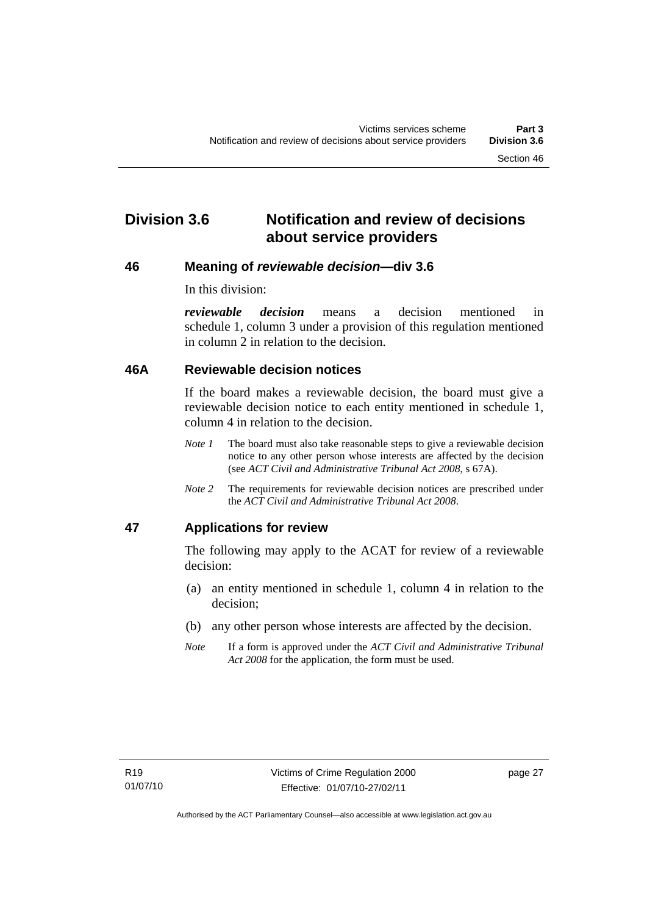## <span id="page-32-0"></span>**Division 3.6 Notification and review of decisions about service providers**

#### **46 Meaning of** *reviewable decision—***div 3.6**

In this division:

*reviewable decision* means a decision mentioned in schedule 1, column 3 under a provision of this regulation mentioned in column 2 in relation to the decision.

#### **46A Reviewable decision notices**

If the board makes a reviewable decision, the board must give a reviewable decision notice to each entity mentioned in schedule 1, column 4 in relation to the decision.

- *Note 1* The board must also take reasonable steps to give a reviewable decision notice to any other person whose interests are affected by the decision (see *ACT Civil and Administrative Tribunal Act 2008*, s 67A).
- *Note 2* The requirements for reviewable decision notices are prescribed under the *ACT Civil and Administrative Tribunal Act 2008*.

## **47 Applications for review**

The following may apply to the ACAT for review of a reviewable decision:

- (a) an entity mentioned in schedule 1, column 4 in relation to the decision;
- (b) any other person whose interests are affected by the decision.
- *Note* If a form is approved under the *ACT Civil and Administrative Tribunal Act 2008* for the application, the form must be used.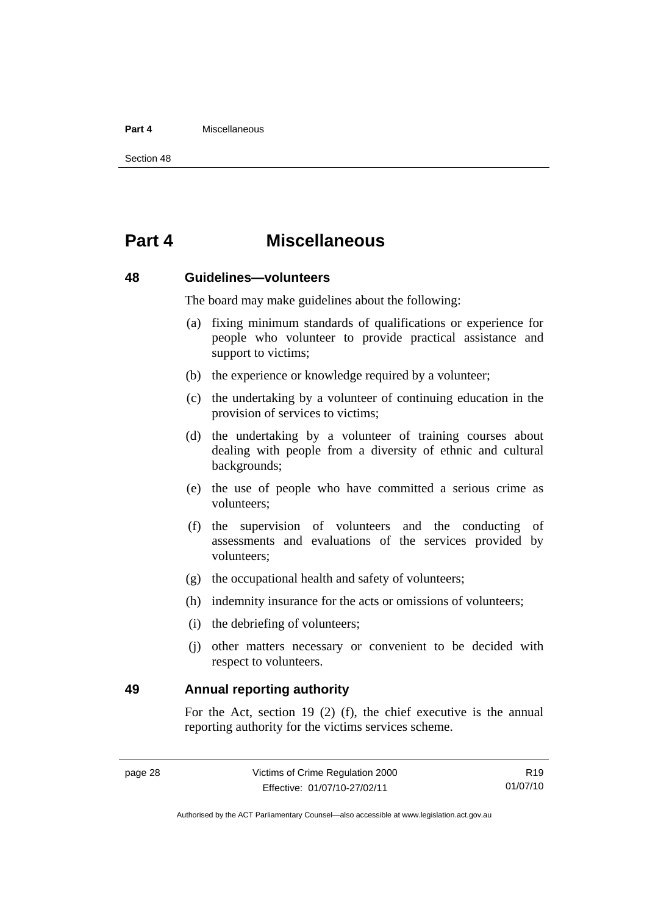#### <span id="page-33-0"></span>**Part 4** Miscellaneous

Section 48

## **Part 4 Miscellaneous**

#### **48 Guidelines—volunteers**

The board may make guidelines about the following:

- (a) fixing minimum standards of qualifications or experience for people who volunteer to provide practical assistance and support to victims:
- (b) the experience or knowledge required by a volunteer;
- (c) the undertaking by a volunteer of continuing education in the provision of services to victims;
- (d) the undertaking by a volunteer of training courses about dealing with people from a diversity of ethnic and cultural backgrounds;
- (e) the use of people who have committed a serious crime as volunteers;
- (f) the supervision of volunteers and the conducting of assessments and evaluations of the services provided by volunteers;
- (g) the occupational health and safety of volunteers;
- (h) indemnity insurance for the acts or omissions of volunteers;
- (i) the debriefing of volunteers;
- (j) other matters necessary or convenient to be decided with respect to volunteers.

**49 Annual reporting authority** 

For the Act, section 19 (2) (f), the chief executive is the annual reporting authority for the victims services scheme.

R19 01/07/10

Authorised by the ACT Parliamentary Counsel—also accessible at www.legislation.act.gov.au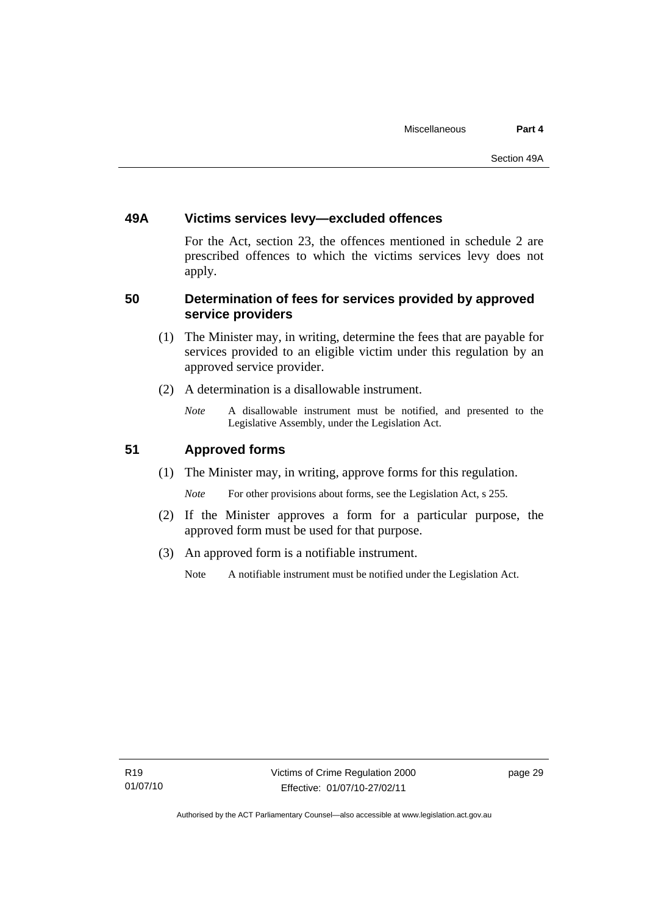### <span id="page-34-0"></span>**49A Victims services levy—excluded offences**

For the Act, section 23, the offences mentioned in schedule 2 are prescribed offences to which the victims services levy does not apply.

### **50 Determination of fees for services provided by approved service providers**

- (1) The Minister may, in writing, determine the fees that are payable for services provided to an eligible victim under this regulation by an approved service provider.
- (2) A determination is a disallowable instrument.
	- *Note* A disallowable instrument must be notified, and presented to the Legislative Assembly, under the Legislation Act.

## **51 Approved forms**

(1) The Minister may, in writing, approve forms for this regulation.

*Note* For other provisions about forms, see the Legislation Act, s 255.

- (2) If the Minister approves a form for a particular purpose, the approved form must be used for that purpose.
- (3) An approved form is a notifiable instrument.
	- Note A notifiable instrument must be notified under the Legislation Act.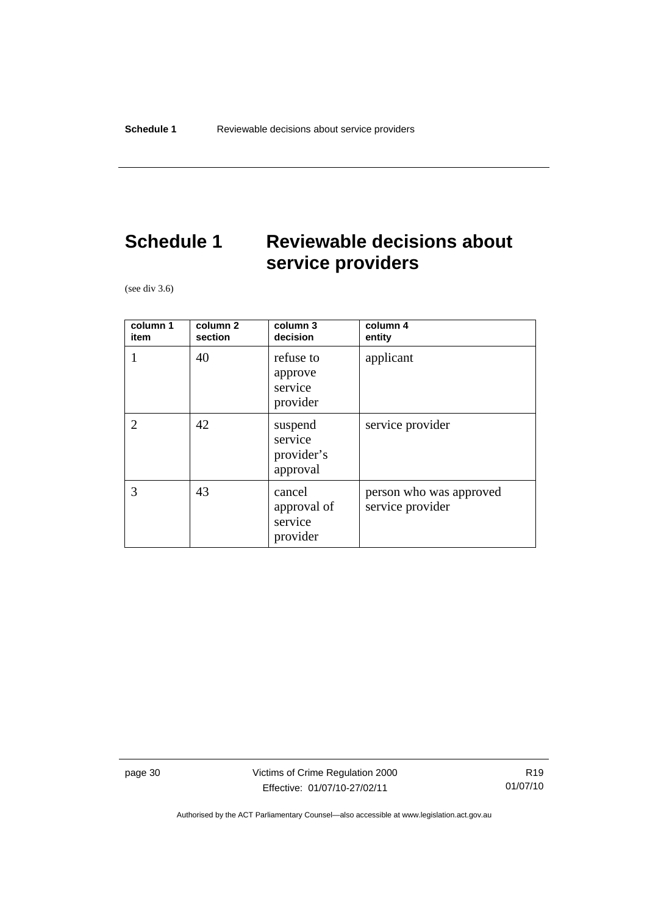## <span id="page-35-0"></span>**Schedule 1 Reviewable decisions about service providers**

(see div 3.6)

| column 1<br>item | column 2<br>section | column 3<br>decision                         | column 4<br>entity                          |
|------------------|---------------------|----------------------------------------------|---------------------------------------------|
|                  | 40                  | refuse to<br>approve<br>service<br>provider  | applicant                                   |
| $\overline{2}$   | 42                  | suspend<br>service<br>provider's<br>approval | service provider                            |
| 3                | 43                  | cancel<br>approval of<br>service<br>provider | person who was approved<br>service provider |

page 30 Victims of Crime Regulation 2000 Effective: 01/07/10-27/02/11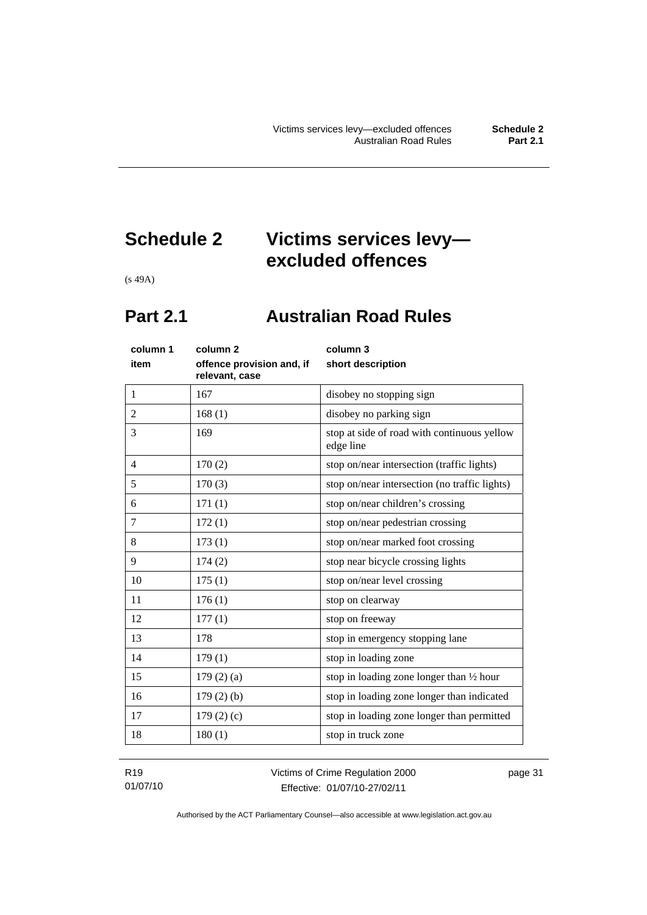## <span id="page-36-0"></span>**Schedule 2 Victims services levy excluded offences**

(s 49A)

## **Part 2.1 Australian Road Rules**

| column 1<br>item | column <sub>2</sub><br>offence provision and, if<br>relevant, case | column 3<br>short description                            |
|------------------|--------------------------------------------------------------------|----------------------------------------------------------|
| 1                | 167                                                                | disobey no stopping sign                                 |
| $\overline{2}$   | 168(1)                                                             | disobey no parking sign                                  |
| 3                | 169                                                                | stop at side of road with continuous yellow<br>edge line |
| $\overline{4}$   | 170(2)                                                             | stop on/near intersection (traffic lights)               |
| 5                | 170(3)                                                             | stop on/near intersection (no traffic lights)            |
| 6                | 171(1)                                                             | stop on/near children's crossing                         |
| $\tau$           | 172(1)                                                             | stop on/near pedestrian crossing                         |
| 8                | 173(1)                                                             | stop on/near marked foot crossing                        |
| 9                | 174(2)                                                             | stop near bicycle crossing lights                        |
| 10               | 175(1)                                                             | stop on/near level crossing                              |
| 11               | 176(1)                                                             | stop on clearway                                         |
| 12               | 177(1)                                                             | stop on freeway                                          |
| 13               | 178                                                                | stop in emergency stopping lane                          |
| 14               | 179(1)                                                             | stop in loading zone                                     |
| 15               | $179(2)$ (a)                                                       | stop in loading zone longer than $\frac{1}{2}$ hour      |
| 16               | $179(2)$ (b)                                                       | stop in loading zone longer than indicated               |
| 17               | 179 $(2)(c)$                                                       | stop in loading zone longer than permitted               |
| 18               | 180(1)                                                             | stop in truck zone                                       |

R19 01/07/10 Victims of Crime Regulation 2000 Effective: 01/07/10-27/02/11

page 31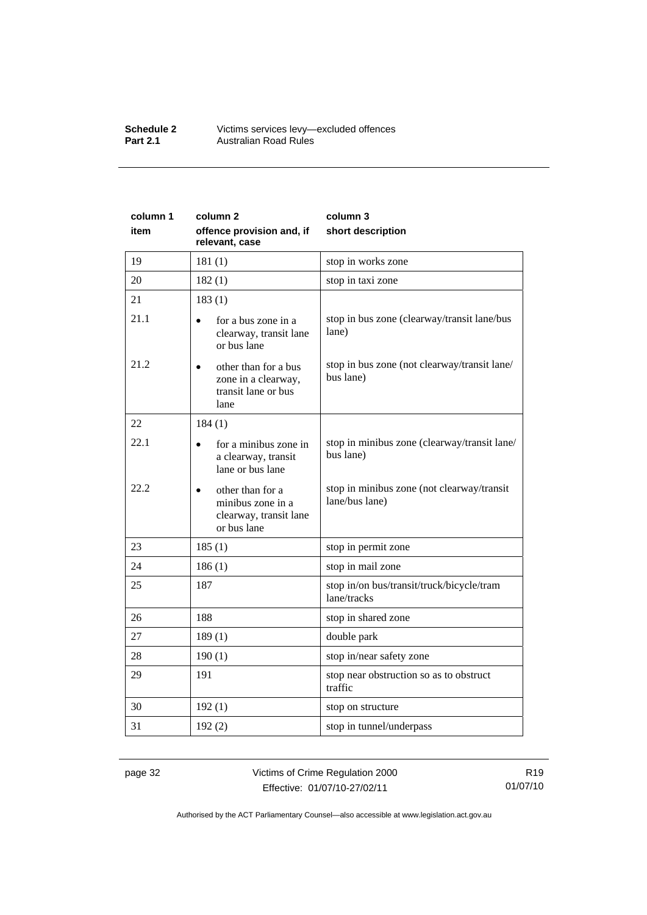#### **Schedule 2** Victims services levy—excluded offences **Part 2.1 Australian Road Rules**

| column 1<br>item | column <sub>2</sub><br>offence provision and, if<br>relevant, case             | column 3<br>short description                                |  |
|------------------|--------------------------------------------------------------------------------|--------------------------------------------------------------|--|
| 19               | 181(1)                                                                         | stop in works zone                                           |  |
| 20               | 182(1)                                                                         | stop in taxi zone                                            |  |
| 21               | 183(1)                                                                         |                                                              |  |
| 21.1             | for a bus zone in a<br>clearway, transit lane<br>or bus lane                   | stop in bus zone (clearway/transit lane/bus<br>lane)         |  |
| 21.2             | other than for a bus<br>zone in a clearway,<br>transit lane or bus<br>lane     | stop in bus zone (not clearway/transit lane/<br>bus lane)    |  |
| 22               | 184(1)                                                                         |                                                              |  |
| 22.1             | for a minibus zone in<br>a clearway, transit<br>lane or bus lane               | stop in minibus zone (clearway/transit lane/<br>bus lane)    |  |
| 22.2             | other than for a<br>minibus zone in a<br>clearway, transit lane<br>or bus lane | stop in minibus zone (not clearway/transit<br>lane/bus lane) |  |
| 23               | 185(1)                                                                         | stop in permit zone                                          |  |
| 24               | 186(1)                                                                         | stop in mail zone                                            |  |
| 25               | 187                                                                            | stop in/on bus/transit/truck/bicycle/tram<br>lane/tracks     |  |
| 26               | 188                                                                            | stop in shared zone                                          |  |
| 27               | 189(1)                                                                         | double park                                                  |  |
| 28               | 190(1)                                                                         | stop in/near safety zone                                     |  |
| 29               | 191                                                                            | stop near obstruction so as to obstruct<br>traffic           |  |
| 30               | 192(1)                                                                         | stop on structure                                            |  |
| 31               | 192(2)                                                                         | stop in tunnel/underpass                                     |  |

page 32 Victims of Crime Regulation 2000 Effective: 01/07/10-27/02/11

R19 01/07/10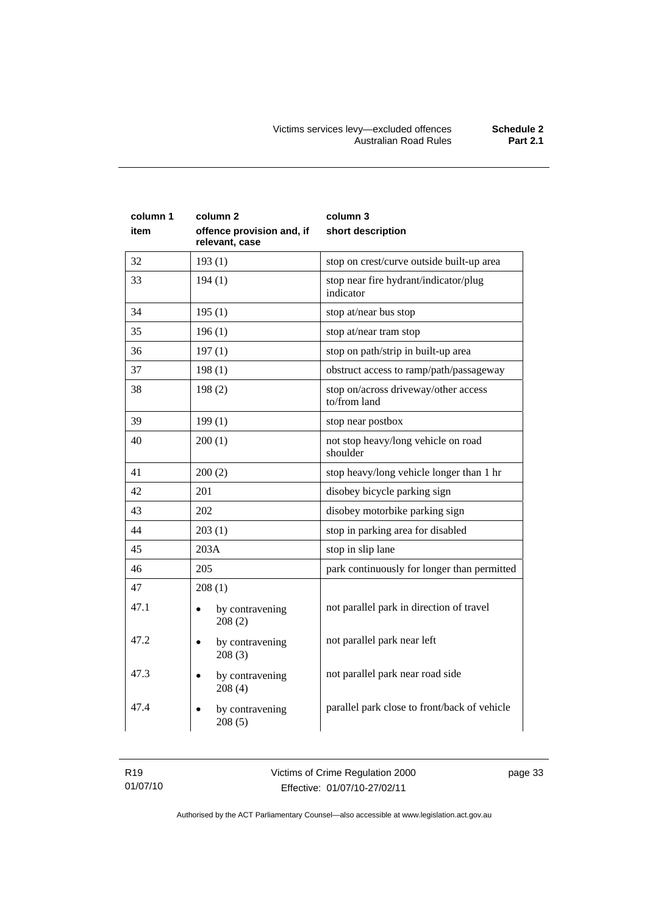| column 1<br>item | column 2<br>offence provision and, if<br>relevant, case | column 3<br>short description                        |  |
|------------------|---------------------------------------------------------|------------------------------------------------------|--|
| 32               | 193(1)                                                  | stop on crest/curve outside built-up area            |  |
| 33               | 194(1)                                                  | stop near fire hydrant/indicator/plug<br>indicator   |  |
| 34               | 195(1)                                                  | stop at/near bus stop                                |  |
| 35               | 196(1)                                                  | stop at/near tram stop                               |  |
| 36               | 197(1)                                                  | stop on path/strip in built-up area                  |  |
| 37               | 198(1)                                                  | obstruct access to ramp/path/passageway              |  |
| 38               | 198(2)                                                  | stop on/across driveway/other access<br>to/from land |  |
| 39               | 199(1)                                                  | stop near postbox                                    |  |
| 40               | 200(1)                                                  | not stop heavy/long vehicle on road<br>shoulder      |  |
| 41               | 200(2)                                                  | stop heavy/long vehicle longer than 1 hr             |  |
| 42               | 201                                                     | disobey bicycle parking sign                         |  |
| 43               | 202                                                     | disobey motorbike parking sign                       |  |
| 44               | 203(1)                                                  | stop in parking area for disabled                    |  |
| 45               | 203A                                                    | stop in slip lane                                    |  |
| 46               | 205                                                     | park continuously for longer than permitted          |  |
| 47               | 208(1)                                                  |                                                      |  |
| 47.1             | by contravening<br>$\bullet$<br>208(2)                  | not parallel park in direction of travel             |  |
| 47.2             | by contravening<br>$\bullet$<br>208(3)                  | not parallel park near left                          |  |
| 47.3             | by contravening<br>208(4)                               | not parallel park near road side                     |  |
| 47.4             | by contravening<br>$\bullet$<br>208(5)                  | parallel park close to front/back of vehicle         |  |

R19 01/07/10 Victims of Crime Regulation 2000 Effective: 01/07/10-27/02/11

page 33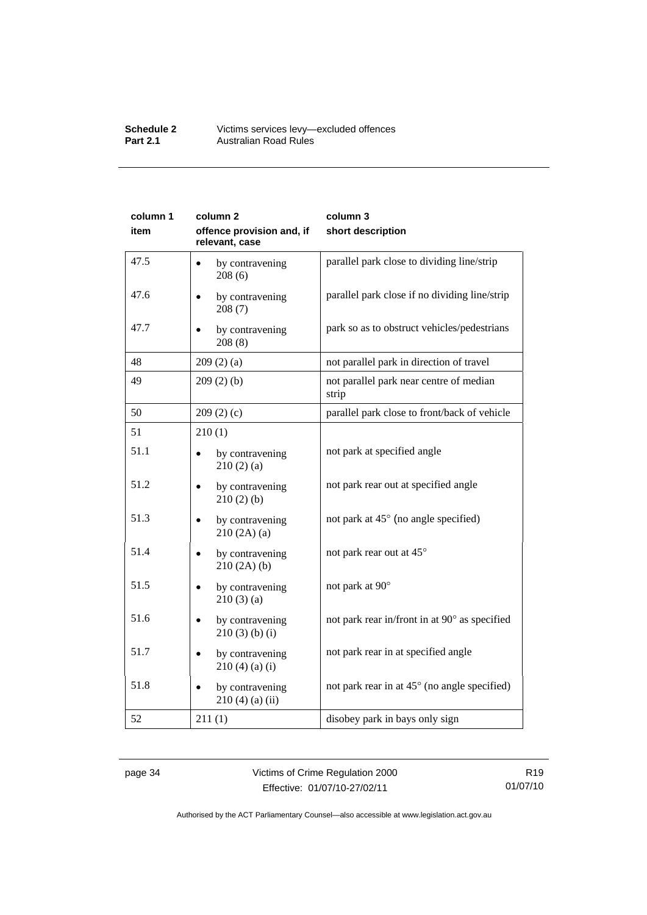#### **Schedule 2** Victims services levy—excluded offences **Part 2.1 Australian Road Rules**

| column 1 | column <sub>2</sub>                         | column 3                                         |  |
|----------|---------------------------------------------|--------------------------------------------------|--|
| item     | offence provision and, if<br>relevant, case | short description                                |  |
| 47.5     | by contravening<br>208(6)                   | parallel park close to dividing line/strip       |  |
| 47.6     | by contravening<br>208(7)                   | parallel park close if no dividing line/strip    |  |
| 47.7     | by contravening<br>208(8)                   | park so as to obstruct vehicles/pedestrians      |  |
| 48       | 209(2)(a)                                   | not parallel park in direction of travel         |  |
| 49       | 209(2)(b)                                   | not parallel park near centre of median<br>strip |  |
| 50       | 209(2)(c)                                   | parallel park close to front/back of vehicle     |  |
| 51       | 210(1)                                      |                                                  |  |
| 51.1     | by contravening<br>210(2)(a)                | not park at specified angle                      |  |
| 51.2     | by contravening<br>210(2)(b)                | not park rear out at specified angle             |  |
| 51.3     | by contravening<br>210(2A)(a)               | not park at 45° (no angle specified)             |  |
| 51.4     | by contravening<br>210(2A)(b)               | not park rear out at 45°                         |  |
| 51.5     | by contravening<br>210(3)(a)                | not park at 90°                                  |  |
| 51.6     | by contravening<br>$210(3)$ (b) (i)         | not park rear in/front in at 90° as specified    |  |
| 51.7     | by contravening<br>$210(4)(a)$ (i)          | not park rear in at specified angle              |  |
| 51.8     | by contravening<br>$210(4)$ (a) (ii)        | not park rear in at 45° (no angle specified)     |  |
| 52       | 211(1)                                      | disobey park in bays only sign                   |  |

page 34 Victims of Crime Regulation 2000 Effective: 01/07/10-27/02/11

R19 01/07/10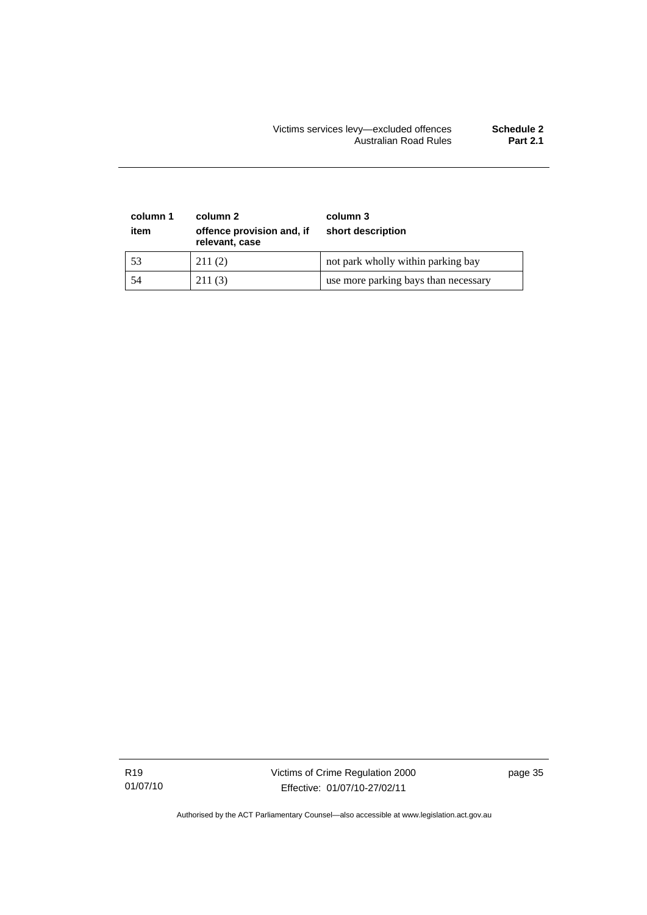#### Victims services levy—excluded offences **Schedule 2**  Australian Road Rules **Part 2.1**

| column 1<br>item | column 2<br>offence provision and, if<br>relevant, case | column 3<br>short description        |
|------------------|---------------------------------------------------------|--------------------------------------|
| 53               | 211(2)                                                  | not park wholly within parking bay   |
| 54               | 211(3)                                                  | use more parking bays than necessary |

R19 01/07/10 Victims of Crime Regulation 2000 Effective: 01/07/10-27/02/11

page 35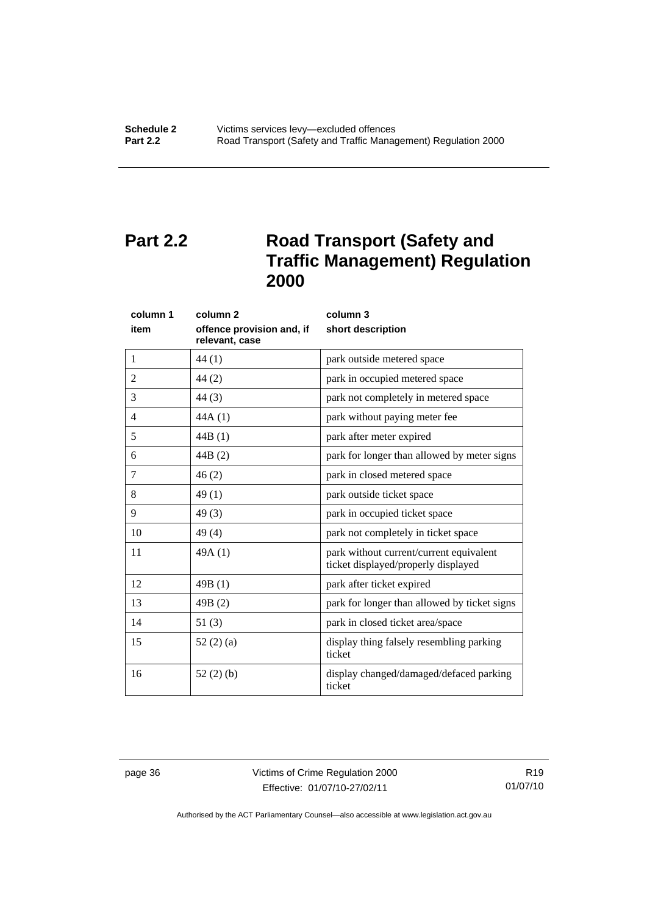## <span id="page-41-0"></span>**Part 2.2** Road Transport (Safety and **Traffic Management) Regulation 2000**

| column 1       | column <sub>2</sub>                         | column 3                                                                       |  |
|----------------|---------------------------------------------|--------------------------------------------------------------------------------|--|
| item           | offence provision and, if<br>relevant, case | short description                                                              |  |
| 1              | 44(1)                                       | park outside metered space                                                     |  |
| $\overline{2}$ | 44(2)                                       | park in occupied metered space                                                 |  |
| 3              | 44(3)                                       | park not completely in metered space                                           |  |
| 4              | 44A(1)                                      | park without paying meter fee                                                  |  |
| 5              | 44B(1)                                      | park after meter expired                                                       |  |
| 6              | 44B(2)                                      | park for longer than allowed by meter signs                                    |  |
| 7              | 46(2)                                       | park in closed metered space                                                   |  |
| 8              | 49(1)                                       | park outside ticket space                                                      |  |
| 9              | 49(3)                                       | park in occupied ticket space                                                  |  |
| 10             | 49(4)                                       | park not completely in ticket space                                            |  |
| 11             | 49A(1)                                      | park without current/current equivalent<br>ticket displayed/properly displayed |  |
| 12             | 49B(1)                                      | park after ticket expired                                                      |  |
| 13             | 49B(2)                                      | park for longer than allowed by ticket signs                                   |  |
| 14             | 51(3)                                       | park in closed ticket area/space                                               |  |
| 15             | 52(2)(a)                                    | display thing falsely resembling parking<br>ticket                             |  |
| 16             | 52(2)(b)                                    | display changed/damaged/defaced parking<br>ticket                              |  |

page 36 Victims of Crime Regulation 2000 Effective: 01/07/10-27/02/11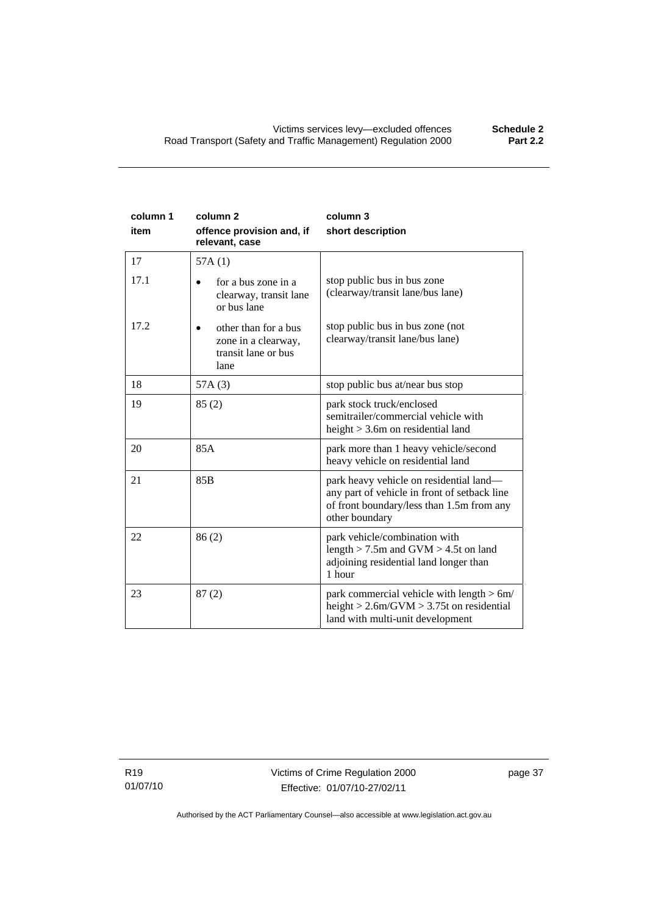| column 1<br>item | column <sub>2</sub><br>offence provision and, if<br>relevant, case         | column 3<br>short description                                                                                                                          |
|------------------|----------------------------------------------------------------------------|--------------------------------------------------------------------------------------------------------------------------------------------------------|
| 17               | 57A(1)                                                                     |                                                                                                                                                        |
| 17.1             | for a bus zone in a<br>clearway, transit lane<br>or bus lane               | stop public bus in bus zone<br>(clearway/transit lane/bus lane)                                                                                        |
| 17.2             | other than for a bus<br>zone in a clearway,<br>transit lane or bus<br>lane | stop public bus in bus zone (not<br>clearway/transit lane/bus lane)                                                                                    |
| 18               | 57A(3)                                                                     | stop public bus at/near bus stop                                                                                                                       |
| 19               | 85(2)                                                                      | park stock truck/enclosed<br>semitrailer/commercial vehicle with<br>height $>$ 3.6m on residential land                                                |
| 20               | 85A                                                                        | park more than 1 heavy vehicle/second<br>heavy vehicle on residential land                                                                             |
| 21               | 85B                                                                        | park heavy vehicle on residential land-<br>any part of vehicle in front of setback line<br>of front boundary/less than 1.5m from any<br>other boundary |
| 22               | 86(2)                                                                      | park vehicle/combination with<br>length $> 7.5$ m and GVM $> 4.5t$ on land<br>adjoining residential land longer than<br>1 hour                         |
| 23               | 87(2)                                                                      | park commercial vehicle with length $> 6m/$<br>height $> 2.6$ m/GVM $> 3.75$ t on residential<br>land with multi-unit development                      |

R19 01/07/10 page 37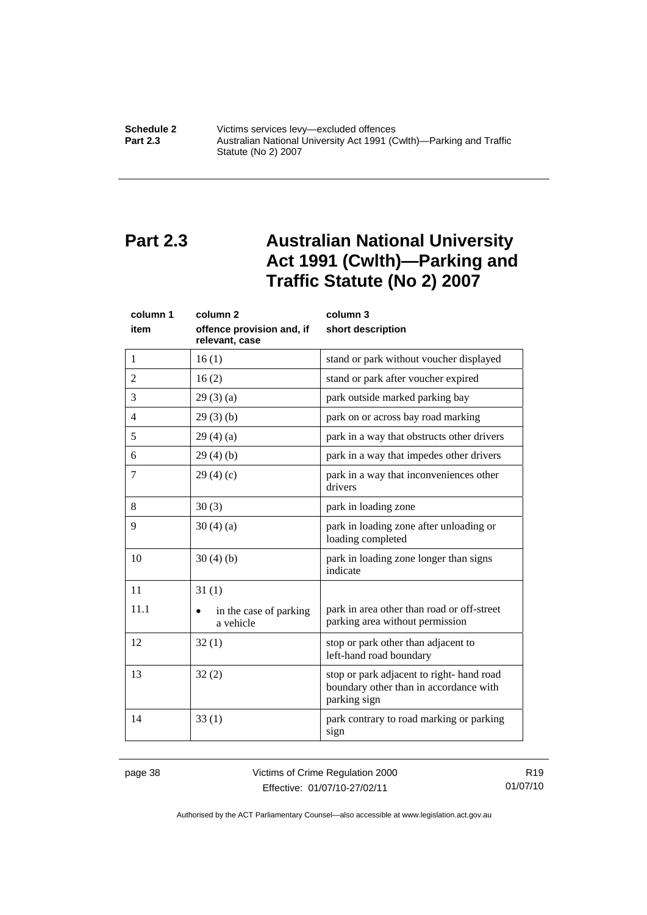<span id="page-43-0"></span>**Schedule 2 Victims services levy—excluded offences**<br>**Part 2.3 Australian National University Act 1991 (C Part 2.3** Australian National University Act 1991 (Cwlth)—Parking and Traffic Statute (No 2) 2007

## **Part 2.3 Australian National University Act 1991 (Cwlth)—Parking and Traffic Statute (No 2) 2007**

| column 1<br>item | column <sub>2</sub><br>offence provision and, if<br>relevant, case | column 3<br>short description                                                                      |  |
|------------------|--------------------------------------------------------------------|----------------------------------------------------------------------------------------------------|--|
| 1                | 16(1)                                                              | stand or park without voucher displayed                                                            |  |
| $\overline{2}$   | 16(2)                                                              | stand or park after voucher expired                                                                |  |
| 3                | 29(3)(a)                                                           | park outside marked parking bay                                                                    |  |
| 4                | 29(3)(b)                                                           | park on or across bay road marking                                                                 |  |
| 5                | 29(4)(a)                                                           | park in a way that obstructs other drivers                                                         |  |
| 6                | 29(4)(b)                                                           | park in a way that impedes other drivers                                                           |  |
| 7                | 29(4)(c)                                                           | park in a way that inconveniences other<br>drivers                                                 |  |
| 8                | 30(3)                                                              | park in loading zone                                                                               |  |
| 9                | 30(4)(a)                                                           | park in loading zone after unloading or<br>loading completed                                       |  |
| 10               | 30(4)(b)                                                           | park in loading zone longer than signs<br>indicate                                                 |  |
| 11               | 31(1)                                                              |                                                                                                    |  |
| 11.1             | in the case of parking<br>a vehicle                                | park in area other than road or off-street<br>parking area without permission                      |  |
| 12               | 32(1)                                                              | stop or park other than adjacent to<br>left-hand road boundary                                     |  |
| 13               | 32(2)                                                              | stop or park adjacent to right-hand road<br>boundary other than in accordance with<br>parking sign |  |
| 14               | 33(1)                                                              | park contrary to road marking or parking<br>sign                                                   |  |

page 38 Victims of Crime Regulation 2000 Effective: 01/07/10-27/02/11

R19 01/07/10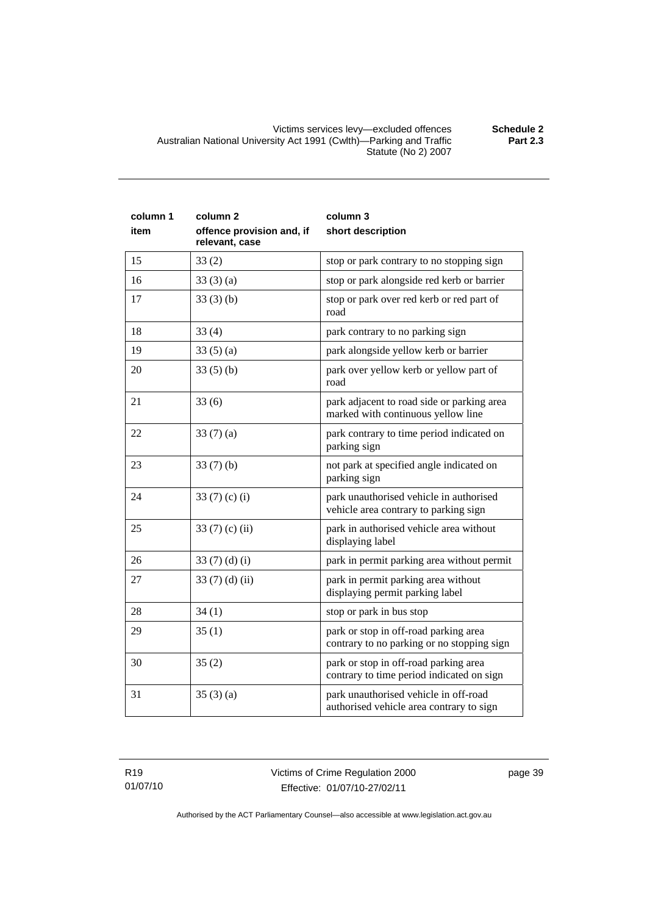Victims services levy—excluded offences **Schedule 2**  Australian National University Act 1991 (Cwlth)—Parking and Traffic Statute (No 2) 2007

| column 1<br>item | column <sub>2</sub><br>offence provision and, if<br>relevant, case | column 3<br>short description                                                       |  |
|------------------|--------------------------------------------------------------------|-------------------------------------------------------------------------------------|--|
| 15               | 33(2)                                                              | stop or park contrary to no stopping sign                                           |  |
| 16               | 33(3)(a)                                                           | stop or park alongside red kerb or barrier                                          |  |
| 17               | 33(3)(b)                                                           | stop or park over red kerb or red part of<br>road                                   |  |
| 18               | 33(4)                                                              | park contrary to no parking sign                                                    |  |
| 19               | 33(5)(a)                                                           | park alongside yellow kerb or barrier                                               |  |
| 20               | 33(5)(b)                                                           | park over yellow kerb or yellow part of<br>road                                     |  |
| 21               | 33(6)                                                              | park adjacent to road side or parking area<br>marked with continuous yellow line    |  |
| 22               | 33 $(7)(a)$                                                        | park contrary to time period indicated on<br>parking sign                           |  |
| 23               | 33(7)(b)                                                           | not park at specified angle indicated on<br>parking sign                            |  |
| 24               | 33 $(7)$ $(c)$ $(i)$                                               | park unauthorised vehicle in authorised<br>vehicle area contrary to parking sign    |  |
| 25               | 33 $(7)$ $(c)$ $(ii)$                                              | park in authorised vehicle area without<br>displaying label                         |  |
| 26               | 33 $(7)(d)(i)$                                                     | park in permit parking area without permit                                          |  |
| 27               | 33(7)(d)(ii)                                                       | park in permit parking area without<br>displaying permit parking label              |  |
| 28               | 34(1)                                                              | stop or park in bus stop                                                            |  |
| 29               | 35(1)                                                              | park or stop in off-road parking area<br>contrary to no parking or no stopping sign |  |
| 30               | 35(2)                                                              | park or stop in off-road parking area<br>contrary to time period indicated on sign  |  |
| 31               | 35(3)(a)                                                           | park unauthorised vehicle in off-road<br>authorised vehicle area contrary to sign   |  |

R19 01/07/10 page 39

Authorised by the ACT Parliamentary Counsel—also accessible at www.legislation.act.gov.au

**Part 2.3**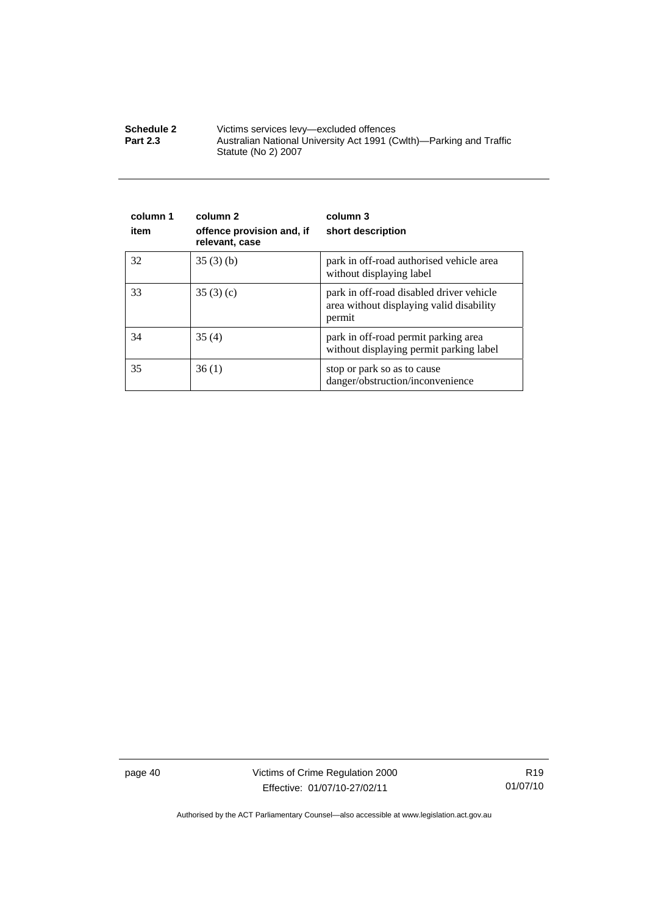| <b>Schedule 2</b> | Victims services levy—excluded offences                                                    |
|-------------------|--------------------------------------------------------------------------------------------|
| <b>Part 2.3</b>   | Australian National University Act 1991 (Cwlth)—Parking and Traffic<br>Statute (No 2) 2007 |

| column 1<br>item | column 2<br>offence provision and, if<br>relevant, case | column 3<br>short description                                                                  |
|------------------|---------------------------------------------------------|------------------------------------------------------------------------------------------------|
| 32               | 35(3)(b)                                                | park in off-road authorised vehicle area<br>without displaying label                           |
| 33               | 35(3)(c)                                                | park in off-road disabled driver vehicle<br>area without displaying valid disability<br>permit |
| 34               | 35(4)                                                   | park in off-road permit parking area<br>without displaying permit parking label                |
| 35               | 36(1)                                                   | stop or park so as to cause<br>danger/obstruction/inconvenience                                |

page 40 Victims of Crime Regulation 2000 Effective: 01/07/10-27/02/11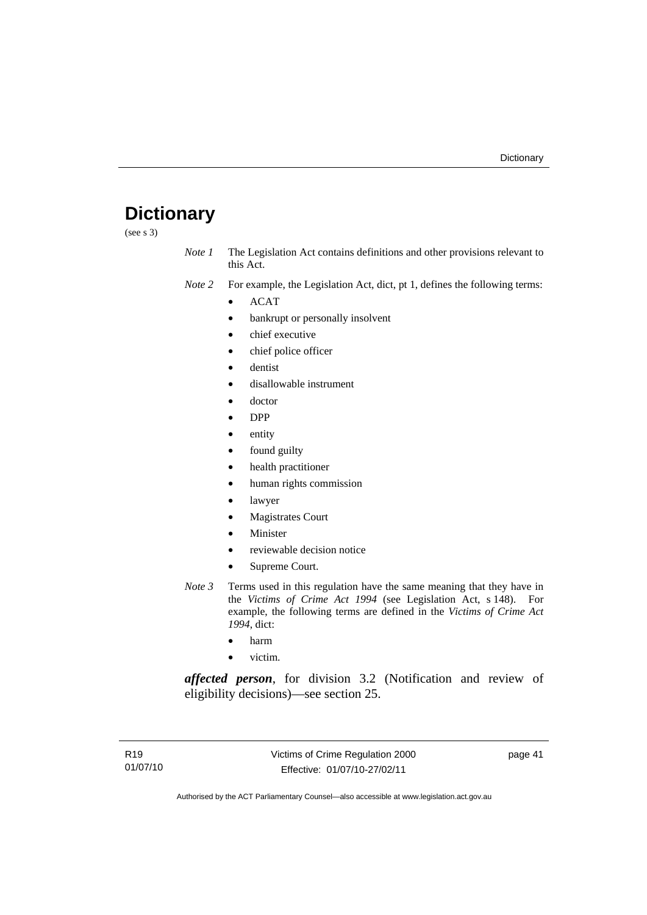## <span id="page-46-0"></span>**Dictionary**

(see s 3)

- *Note 1* The Legislation Act contains definitions and other provisions relevant to this Act.
- *Note 2* For example, the Legislation Act, dict, pt 1, defines the following terms:
	- ACAT
		- bankrupt or personally insolvent
		- chief executive
		- chief police officer
		- dentist
		- disallowable instrument
		- doctor
		- DPP
		- entity
		- found guilty
		- health practitioner
		- human rights commission
		- lawyer
		- **Magistrates Court**
		- **Minister**
		- reviewable decision notice
		- Supreme Court.
- *Note 3* Terms used in this regulation have the same meaning that they have in the *Victims of Crime Act 1994* (see Legislation Act, s 148). For example, the following terms are defined in the *Victims of Crime Act 1994*, dict:
	- harm
	- victim.

*affected person*, for division 3.2 (Notification and review of eligibility decisions)—see section 25.

page 41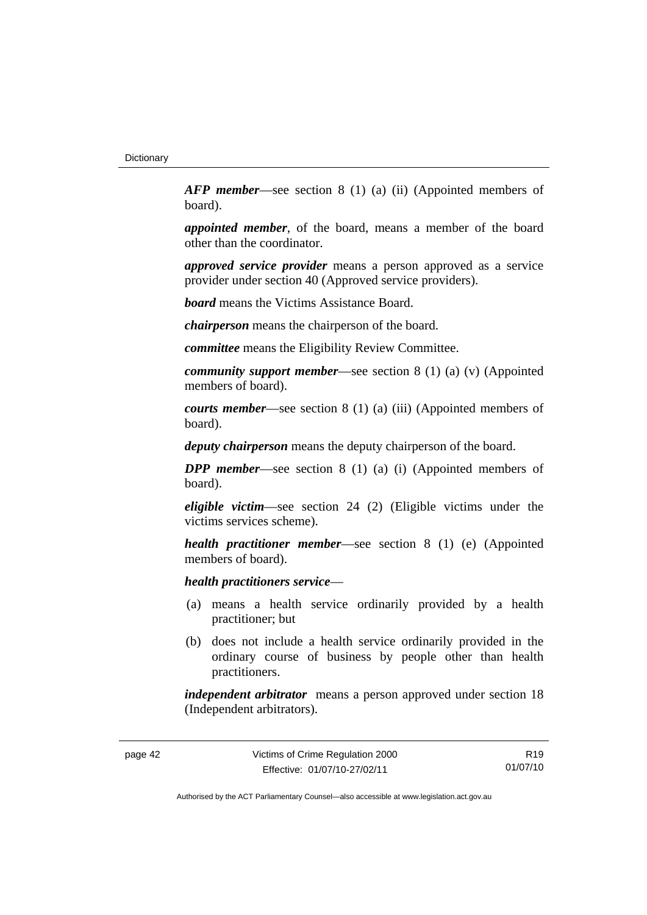*AFP member*—see section 8 (1) (a) (ii) (Appointed members of board).

*appointed member*, of the board, means a member of the board other than the coordinator.

*approved service provider* means a person approved as a service provider under section 40 (Approved service providers).

*board* means the Victims Assistance Board.

*chairperson* means the chairperson of the board.

*committee* means the Eligibility Review Committee.

*community support member*—see section 8 (1) (a) (v) (Appointed members of board).

*courts member*—see section 8 (1) (a) (iii) (Appointed members of board).

*deputy chairperson* means the deputy chairperson of the board.

*DPP member*—see section 8 (1) (a) (i) (Appointed members of board).

*eligible victim*—see section 24 (2) (Eligible victims under the victims services scheme).

*health practitioner member*—see section 8 (1) (e) (Appointed members of board).

*health practitioners service*—

- (a) means a health service ordinarily provided by a health practitioner; but
- (b) does not include a health service ordinarily provided in the ordinary course of business by people other than health practitioners.

*independent arbitrator* means a person approved under section 18 (Independent arbitrators).

R19 01/07/10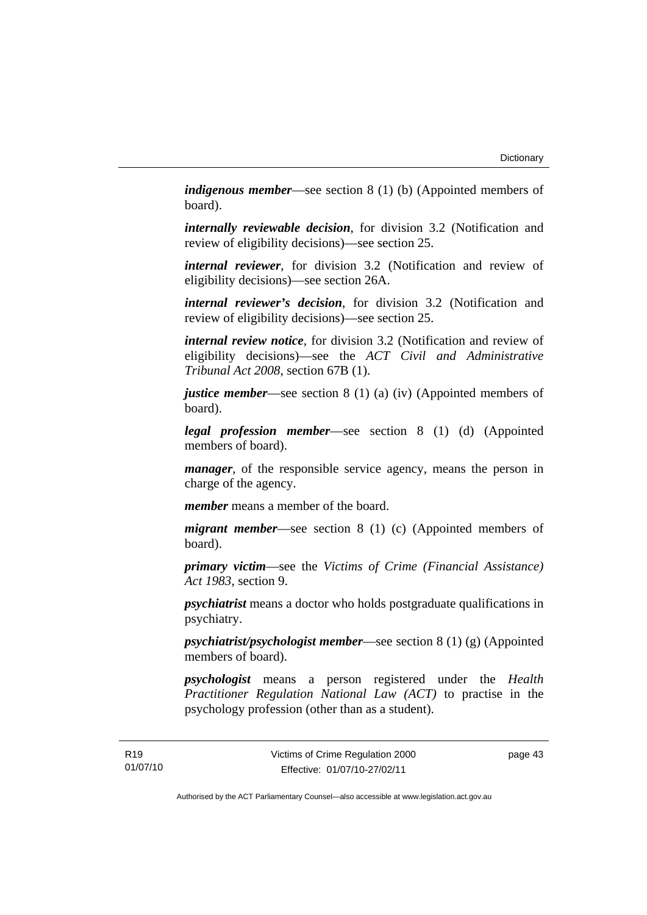*indigenous member*—see section 8 (1) (b) (Appointed members of board).

*internally reviewable decision*, for division 3.2 (Notification and review of eligibility decisions)—see section 25.

*internal reviewer*, for division 3.2 (Notification and review of eligibility decisions)—see section 26A.

*internal reviewer's decision*, for division 3.2 (Notification and review of eligibility decisions)—see section 25.

*internal review notice*, for division 3.2 (Notification and review of eligibility decisions)—see the *ACT Civil and Administrative Tribunal Act 2008*, section 67B (1).

*justice member*—see section 8 (1) (a) (iv) (Appointed members of board).

*legal profession member*—see section 8 (1) (d) (Appointed members of board).

*manager*, of the responsible service agency, means the person in charge of the agency.

*member* means a member of the board.

*migrant member*—see section 8 (1) (c) (Appointed members of board).

*primary victim*—see the *Victims of Crime (Financial Assistance) Act 1983*, section 9.

*psychiatrist* means a doctor who holds postgraduate qualifications in psychiatry.

*psychiatrist/psychologist member*—see section 8 (1) (g) (Appointed members of board).

*psychologist* means a person registered under the *Health Practitioner Regulation National Law (ACT)* to practise in the psychology profession (other than as a student).

page 43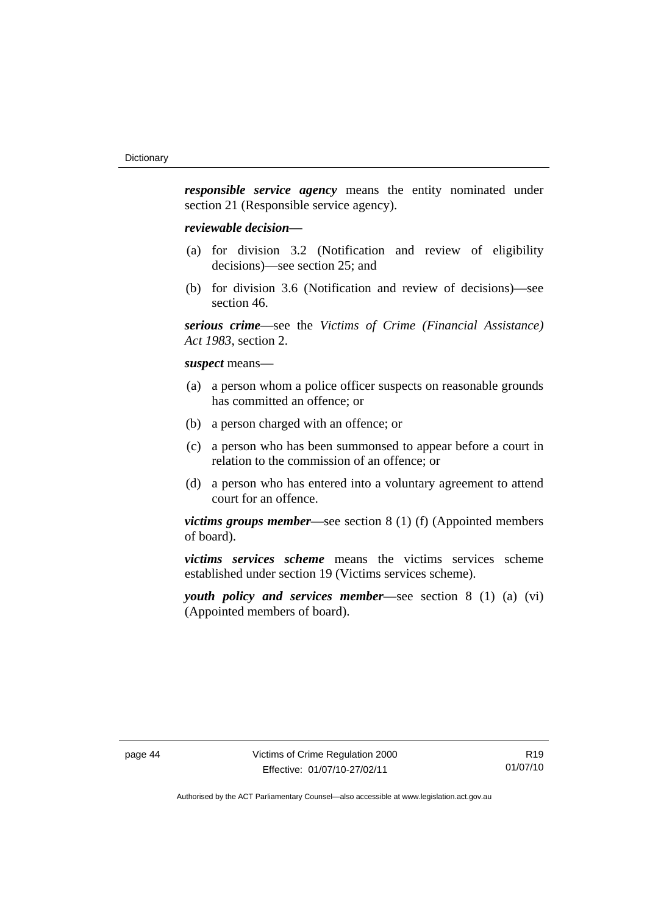*responsible service agency* means the entity nominated under section 21 (Responsible service agency).

#### *reviewable decision—*

- (a) for division 3.2 (Notification and review of eligibility decisions)—see section 25; and
- (b) for division 3.6 (Notification and review of decisions)—see section 46.

*serious crime*—see the *Victims of Crime (Financial Assistance) Act 1983*, section 2.

#### *suspect* means—

- (a) a person whom a police officer suspects on reasonable grounds has committed an offence; or
- (b) a person charged with an offence; or
- (c) a person who has been summonsed to appear before a court in relation to the commission of an offence; or
- (d) a person who has entered into a voluntary agreement to attend court for an offence.

*victims groups member*—see section 8 (1) (f) (Appointed members of board).

*victims services scheme* means the victims services scheme established under section 19 (Victims services scheme).

*youth policy and services member*—see section 8 (1) (a) (vi) (Appointed members of board).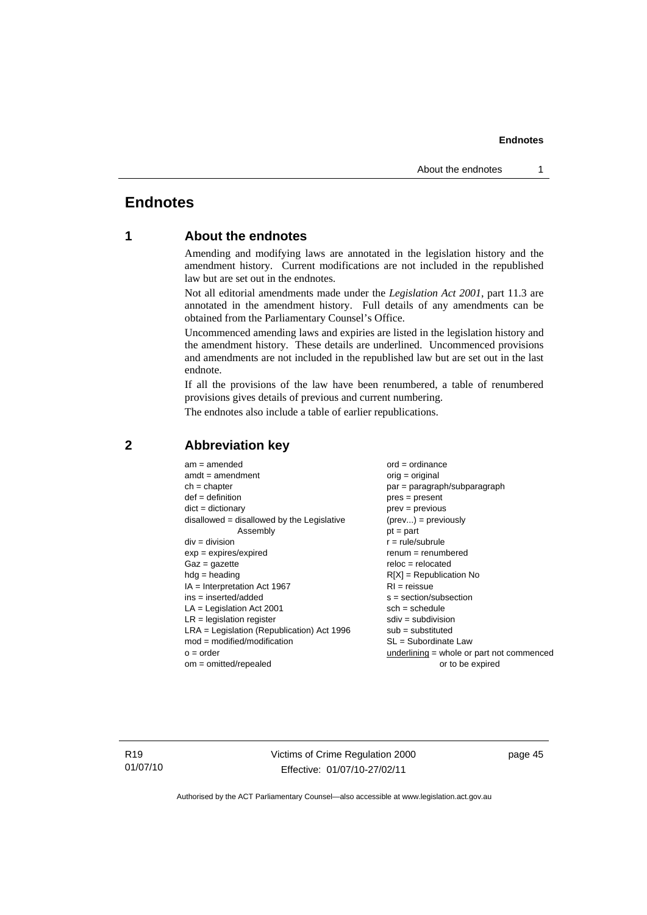## <span id="page-50-0"></span>**Endnotes**

### **1 About the endnotes**

Amending and modifying laws are annotated in the legislation history and the amendment history. Current modifications are not included in the republished law but are set out in the endnotes.

Not all editorial amendments made under the *Legislation Act 2001*, part 11.3 are annotated in the amendment history. Full details of any amendments can be obtained from the Parliamentary Counsel's Office.

Uncommenced amending laws and expiries are listed in the legislation history and the amendment history. These details are underlined. Uncommenced provisions and amendments are not included in the republished law but are set out in the last endnote.

If all the provisions of the law have been renumbered, a table of renumbered provisions gives details of previous and current numbering.

The endnotes also include a table of earlier republications.

| $am = amended$                               | $ord = ordinance$                         |
|----------------------------------------------|-------------------------------------------|
| $amdt = amendment$                           | $orig = original$                         |
| $ch = chapter$                               | $par = paragraph/subparagraph$            |
| $def = definition$                           | $pres = present$                          |
| $dict = dictionary$                          | $prev = previous$                         |
| disallowed = disallowed by the Legislative   | $(\text{prev}) = \text{previously}$       |
| Assembly                                     | $pt = part$                               |
| $div = division$                             | $r = rule/subrule$                        |
| $exp = expires/expired$                      | $remum = renumbered$                      |
| $Gaz = gazette$                              | $reloc = relocated$                       |
| $hdg =$ heading                              | $R[X]$ = Republication No                 |
| $IA = Interpretation Act 1967$               | $RI = reissue$                            |
| $ins = inserted/added$                       | $s = section/subsection$                  |
| $LA =$ Legislation Act 2001                  | $sch = schedule$                          |
| $LR =$ legislation register                  | $sdiv = subdivision$                      |
| $LRA =$ Legislation (Republication) Act 1996 | $sub =$ substituted                       |
| $mod = modified/modification$                | SL = Subordinate Law                      |
| $o = order$                                  | underlining = whole or part not commenced |
| $om = omitted/repealed$                      | or to be expired                          |
|                                              |                                           |

#### **2 Abbreviation key**

R19 01/07/10 Victims of Crime Regulation 2000 Effective: 01/07/10-27/02/11

page 45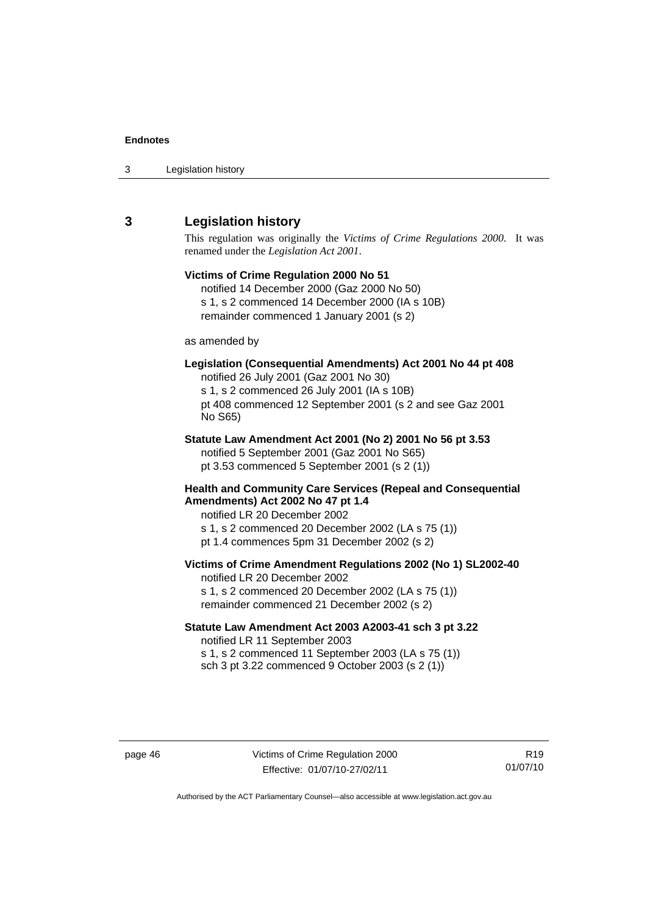<span id="page-51-0"></span>

| 3 | Legislation history |  |
|---|---------------------|--|
|---|---------------------|--|

### **3 Legislation history**

This regulation was originally the *Victims of Crime Regulations 2000*. It was renamed under the *Legislation Act 2001*.

## **Victims of Crime Regulation 2000 No 51**  notified 14 December 2000 (Gaz 2000 No 50) s 1, s 2 commenced 14 December 2000 (IA s 10B) remainder commenced 1 January 2001 (s 2) as amended by **Legislation (Consequential Amendments) Act 2001 No 44 pt 408**  notified 26 July 2001 (Gaz 2001 No 30) s 1, s 2 commenced 26 July 2001 (IA s 10B) pt 408 commenced 12 September 2001 (s 2 and see Gaz 2001 No S65) **Statute Law Amendment Act 2001 (No 2) 2001 No 56 pt 3.53**  notified 5 September 2001 (Gaz 2001 No S65) pt 3.53 commenced 5 September 2001 (s 2 (1)) **Health and Community Care Services (Repeal and Consequential Amendments) Act 2002 No 47 pt 1.4**  notified LR 20 December 2002 s 1, s 2 commenced 20 December 2002 (LA s 75 (1)) pt 1.4 commences 5pm 31 December 2002 (s 2) **Victims of Crime Amendment Regulations 2002 (No 1) SL2002-40**  notified LR 20 December 2002 s 1, s 2 commenced 20 December 2002 (LA s 75 (1)) remainder commenced 21 December 2002 (s 2) **Statute Law Amendment Act 2003 A2003-41 sch 3 pt 3.22**  notified LR 11 September 2003

s 1, s 2 commenced 11 September 2003 (LA s 75 (1)) sch 3 pt 3.22 commenced 9 October 2003 (s 2 (1))

page 46 Victims of Crime Regulation 2000 Effective: 01/07/10-27/02/11

R19 01/07/10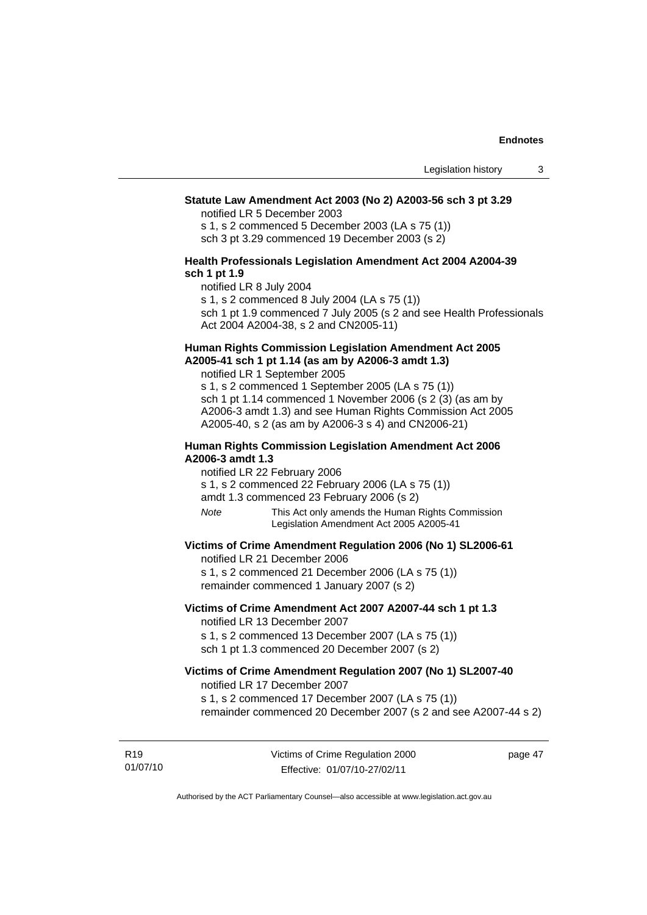#### **Statute Law Amendment Act 2003 (No 2) A2003-56 sch 3 pt 3.29**

notified LR 5 December 2003

s 1, s 2 commenced 5 December 2003 (LA s 75 (1)) sch 3 pt 3.29 commenced 19 December 2003 (s 2)

#### **Health Professionals Legislation Amendment Act 2004 A2004-39 sch 1 pt 1.9**

notified LR 8 July 2004

s 1, s 2 commenced 8 July 2004 (LA s 75 (1))

sch 1 pt 1.9 commenced 7 July 2005 (s 2 and see Health Professionals Act 2004 A2004-38, s 2 and CN2005-11)

#### **Human Rights Commission Legislation Amendment Act 2005 A2005-41 sch 1 pt 1.14 (as am by A2006-3 amdt 1.3)**

notified LR 1 September 2005 s 1, s 2 commenced 1 September 2005 (LA s 75 (1)) sch 1 pt 1.14 commenced 1 November 2006 (s 2 (3) (as am by A2006-3 amdt 1.3) and see Human Rights Commission Act 2005

A2005-40, s 2 (as am by A2006-3 s 4) and CN2006-21)

#### **Human Rights Commission Legislation Amendment Act 2006 A2006-3 amdt 1.3**

notified LR 22 February 2006

s 1, s 2 commenced 22 February 2006 (LA s 75 (1))

amdt 1.3 commenced 23 February 2006 (s 2)

*Note* This Act only amends the Human Rights Commission Legislation Amendment Act 2005 A2005-41

#### **Victims of Crime Amendment Regulation 2006 (No 1) SL2006-61**

notified LR 21 December 2006

s 1, s 2 commenced 21 December 2006 (LA s 75 (1)) remainder commenced 1 January 2007 (s 2)

#### **Victims of Crime Amendment Act 2007 A2007-44 sch 1 pt 1.3**  notified LR 13 December 2007

s 1, s 2 commenced 13 December 2007 (LA s 75 (1)) sch 1 pt 1.3 commenced 20 December 2007 (s 2)

#### **Victims of Crime Amendment Regulation 2007 (No 1) SL2007-40**  notified LR 17 December 2007

s 1, s 2 commenced 17 December 2007 (LA s 75 (1))

remainder commenced 20 December 2007 (s 2 and see A2007-44 s 2)

R19 01/07/10 Victims of Crime Regulation 2000 Effective: 01/07/10-27/02/11

page 47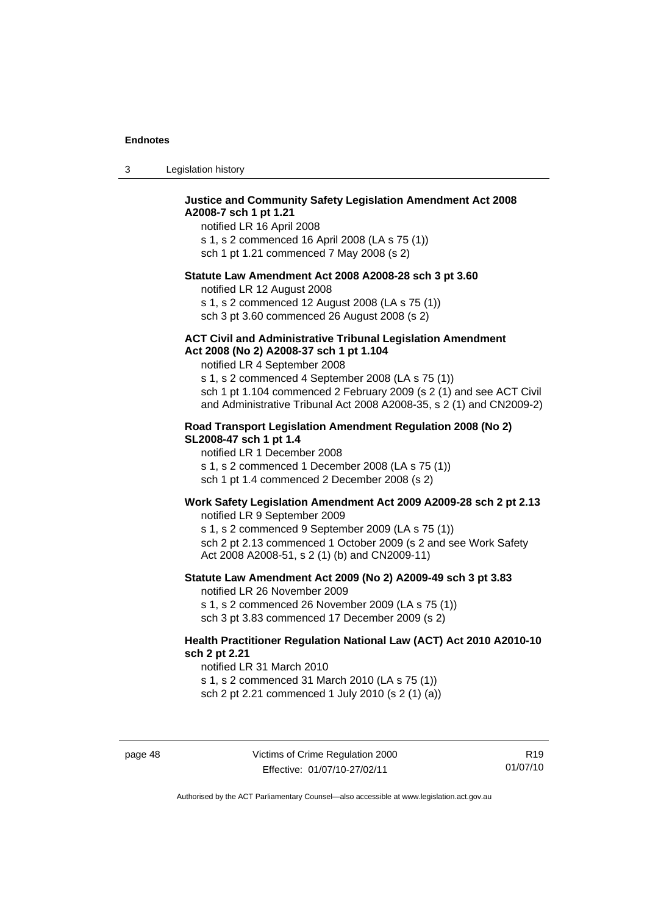| -3 | Legislation history |  |
|----|---------------------|--|
|----|---------------------|--|

#### **Justice and Community Safety Legislation Amendment Act 2008 A2008-7 sch 1 pt 1.21**

notified LR 16 April 2008 s 1, s 2 commenced 16 April 2008 (LA s 75 (1)) sch 1 pt 1.21 commenced 7 May 2008 (s 2)

#### **Statute Law Amendment Act 2008 A2008-28 sch 3 pt 3.60**

notified LR 12 August 2008

s 1, s 2 commenced 12 August 2008 (LA s 75 (1)) sch 3 pt 3.60 commenced 26 August 2008 (s 2)

#### **ACT Civil and Administrative Tribunal Legislation Amendment Act 2008 (No 2) A2008-37 sch 1 pt 1.104**

notified LR 4 September 2008

s 1, s 2 commenced 4 September 2008 (LA s 75 (1)) sch 1 pt 1.104 commenced 2 February 2009 (s 2 (1) and see ACT Civil and Administrative Tribunal Act 2008 A2008-35, s 2 (1) and CN2009-2)

#### **Road Transport Legislation Amendment Regulation 2008 (No 2) SL2008-47 sch 1 pt 1.4**

notified LR 1 December 2008 s 1, s 2 commenced 1 December 2008 (LA s 75 (1)) sch 1 pt 1.4 commenced 2 December 2008 (s 2)

#### **Work Safety Legislation Amendment Act 2009 A2009-28 sch 2 pt 2.13**

notified LR 9 September 2009

s 1, s 2 commenced 9 September 2009 (LA s 75 (1)) sch 2 pt 2.13 commenced 1 October 2009 (s 2 and see Work Safety Act 2008 A2008-51, s 2 (1) (b) and CN2009-11)

#### **Statute Law Amendment Act 2009 (No 2) A2009-49 sch 3 pt 3.83**

notified LR 26 November 2009

s 1, s 2 commenced 26 November 2009 (LA s 75 (1))

sch 3 pt 3.83 commenced 17 December 2009 (s 2)

#### **Health Practitioner Regulation National Law (ACT) Act 2010 A2010-10 sch 2 pt 2.21**

notified LR 31 March 2010

s 1, s 2 commenced 31 March 2010 (LA s 75 (1)) sch 2 pt 2.21 commenced 1 July 2010 (s 2 (1) (a))

page 48 Victims of Crime Regulation 2000 Effective: 01/07/10-27/02/11

R19 01/07/10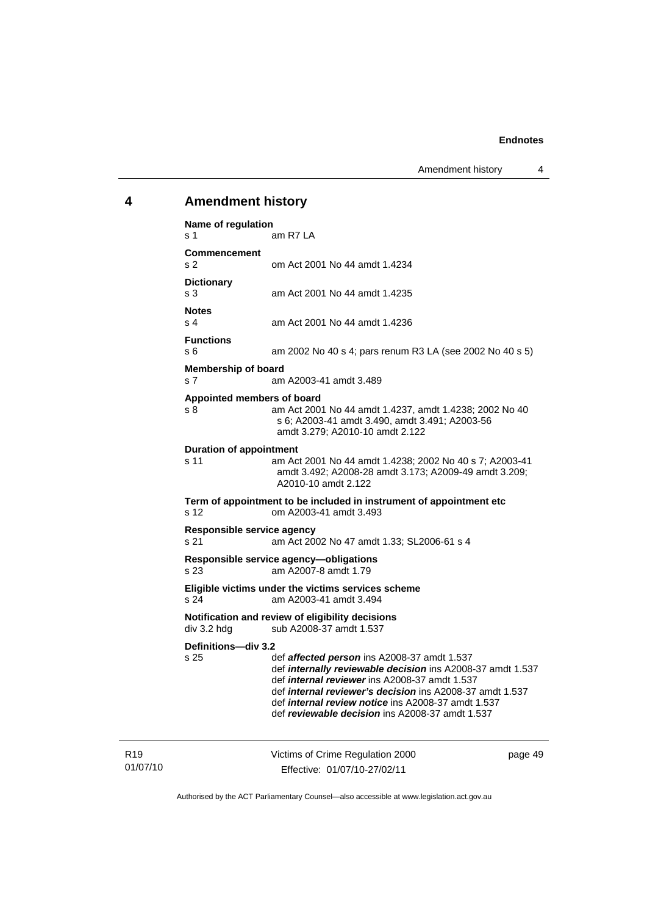#### <span id="page-54-0"></span>**4 Amendment history**

**Name of regulation**  s 1 am R7 LA **Commencement**  s 2 om Act 2001 No 44 amdt 1.4234 **Dictionary**  s 3 am Act 2001 No 44 amdt 1.4235 **Notes**  s 4 am Act 2001 No 44 amdt 1.4236 **Functions**  s 6 am 2002 No 40 s 4; pars renum R3 LA (see 2002 No 40 s 5) **Membership of board**  s 7 am A2003-41 amdt 3.489 **Appointed members of board**  s 8 am Act 2001 No 44 amdt 1.4237, amdt 1.4238; 2002 No 40 s 6; A2003-41 amdt 3.490, amdt 3.491; A2003-56 amdt 3.279; A2010-10 amdt 2.122 **Duration of appointment**  s 11 am Act 2001 No 44 amdt 1.4238; 2002 No 40 s 7; A2003-41 amdt 3.492; A2008-28 amdt 3.173; A2009-49 amdt 3.209; A2010-10 amdt 2.122 **Term of appointment to be included in instrument of appointment etc**  s 12 om A2003-41 amdt 3.493 **Responsible service agency**  s 21 am Act 2002 No 47 amdt 1.33; SL2006-61 s 4 **Responsible service agency—obligations**  s 23 am A2007-8 amdt 1.79 **Eligible victims under the victims services scheme**  s 24 am A2003-41 amdt 3.494 **Notification and review of eligibility decisions**<br>div 3.2 hdg sub A2008-37 amdt 1.537 sub A2008-37 amdt 1.537 **Definitions—div 3.2**  s 25 def *affected person* ins A2008-37 amdt 1.537 def *internally reviewable decision* ins A2008-37 amdt 1.537 def *internal reviewer* ins A2008-37 amdt 1.537 def *internal reviewer's decision* ins A2008-37 amdt 1.537 def *internal review notice* ins A2008-37 amdt 1.537 def *reviewable decision* ins A2008-37 amdt 1.537

Victims of Crime Regulation 2000 Effective: 01/07/10-27/02/11

page 49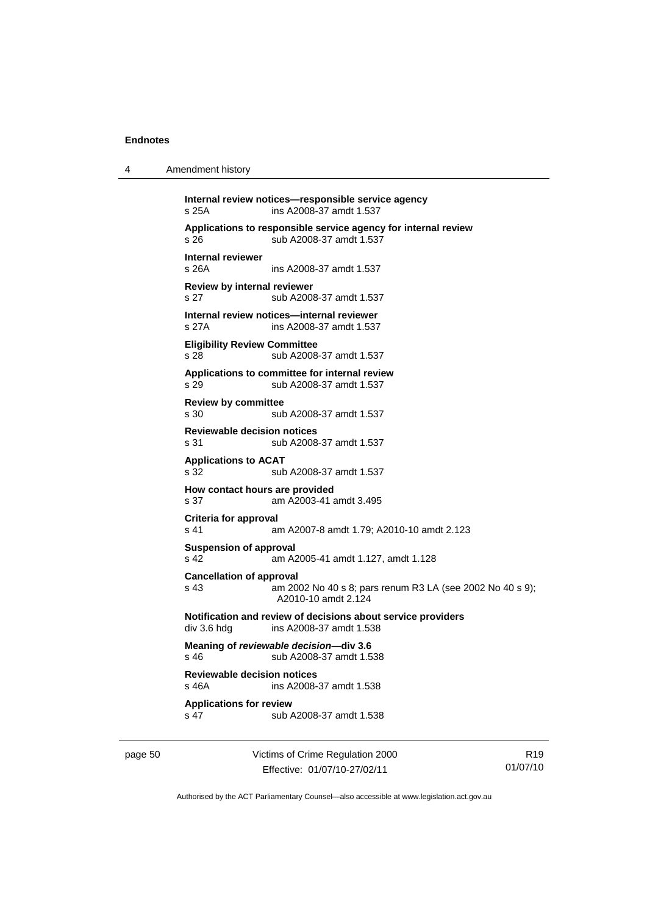| Amendment history<br>4 |  |
|------------------------|--|
|------------------------|--|

**Internal review notices—responsible service agency**  s 25A ins A2008-37 amdt 1.537 **Applications to responsible service agency for internal review**  s 26 sub A2008-37 amdt 1.537 **Internal reviewer**  s 26A ins A2008-37 amdt 1.537 **Review by internal reviewer**  s 27 sub A2008-37 amdt 1.537 **Internal review notices—internal reviewer**  s 27A ins A2008-37 amdt 1.537 **Eligibility Review Committee**  s 28 sub A2008-37 amdt 1.537 **Applications to committee for internal review**  s 29 sub A2008-37 amdt 1.537 **Review by committee**  s 30 sub A2008-37 amdt 1.537 **Reviewable decision notices**  s 31 sub A2008-37 amdt 1.537 **Applications to ACAT**  s 32 sub A2008-37 amdt 1.537 **How contact hours are provided**  s 37 am A2003-41 amdt 3.495 **Criteria for approval**  s 41 am A2007-8 amdt 1.79; A2010-10 amdt 2.123 **Suspension of approval**  s 42 am A2005-41 amdt 1.127, amdt 1.128 **Cancellation of approval**  s 43 am 2002 No 40 s 8; pars renum R3 LA (see 2002 No 40 s 9); A2010-10 amdt 2.124 **Notification and review of decisions about service providers**  div 3.6 hdg ins A2008-37 amdt 1.538 **Meaning of** *reviewable decision—***div 3.6**  s 46 sub A2008-37 amdt 1.538 **Reviewable decision notices**  s 46A ins A2008-37 amdt 1.538 **Applications for review**  s 47 sub A2008-37 amdt 1.538

page 50 Victims of Crime Regulation 2000 Effective: 01/07/10-27/02/11

R19 01/07/10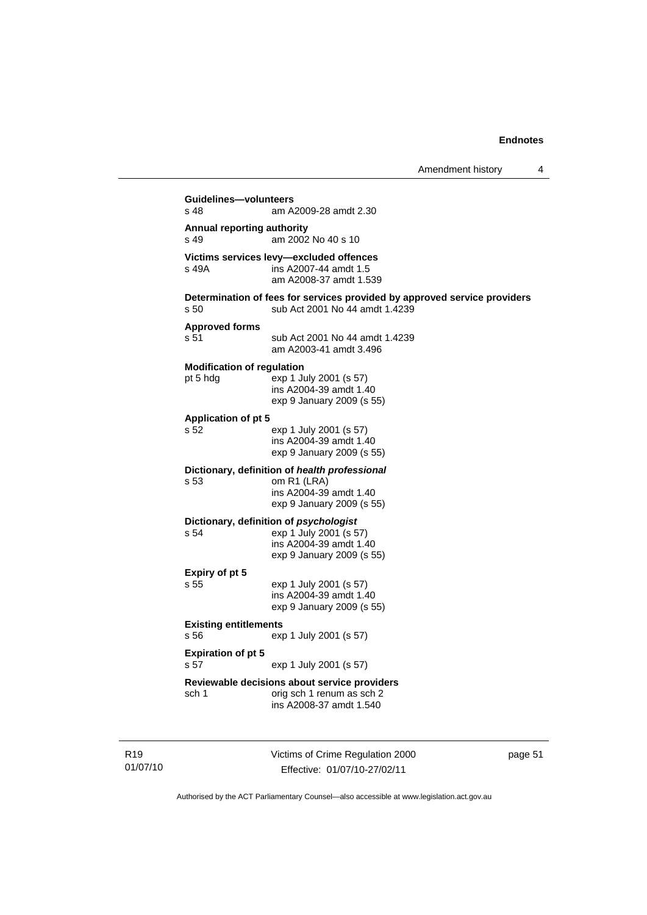#### **Guidelines—volunteers**  am A2009-28 amdt 2.30 **Annual reporting authority**  s 49 am 2002 No 40 s 10 **Victims services levy—excluded offences**  ins A2007-44 amdt 1.5 am A2008-37 amdt 1.539 **Determination of fees for services provided by approved service providers**  s 50 sub Act 2001 No 44 amdt 1.4239 **Approved forms**  s 51 sub Act 2001 No 44 amdt 1.4239 am A2003-41 amdt 3.496 **Modification of regulation**  pt 5 hdg exp 1 July 2001 (s 57) ins A2004-39 amdt 1.40 exp 9 January 2009 (s 55) **Application of pt 5**  s 52 exp 1 July 2001 (s 57) ins A2004-39 amdt 1.40 exp 9 January 2009 (s 55) **Dictionary, definition of** *health professional* s 53 om R1 (LRA) ins A2004-39 amdt 1.40 exp 9 January 2009 (s 55) **Dictionary, definition of** *psychologist* s 54 exp 1 July 2001 (s 57) ins A2004-39 amdt 1.40 exp 9 January 2009 (s 55) **Expiry of pt 5**  s 55 exp 1 July 2001 (s 57) ins A2004-39 amdt 1.40 exp 9 January 2009 (s 55) **Existing entitlements**  s 56 exp 1 July 2001 (s 57) **Expiration of pt 5**  s 57 exp 1 July 2001 (s 57) **Reviewable decisions about service providers**  sch 1 orig sch 1 renum as sch 2 ins A2008-37 amdt 1.540

R19 01/07/10 Victims of Crime Regulation 2000 Effective: 01/07/10-27/02/11

page 51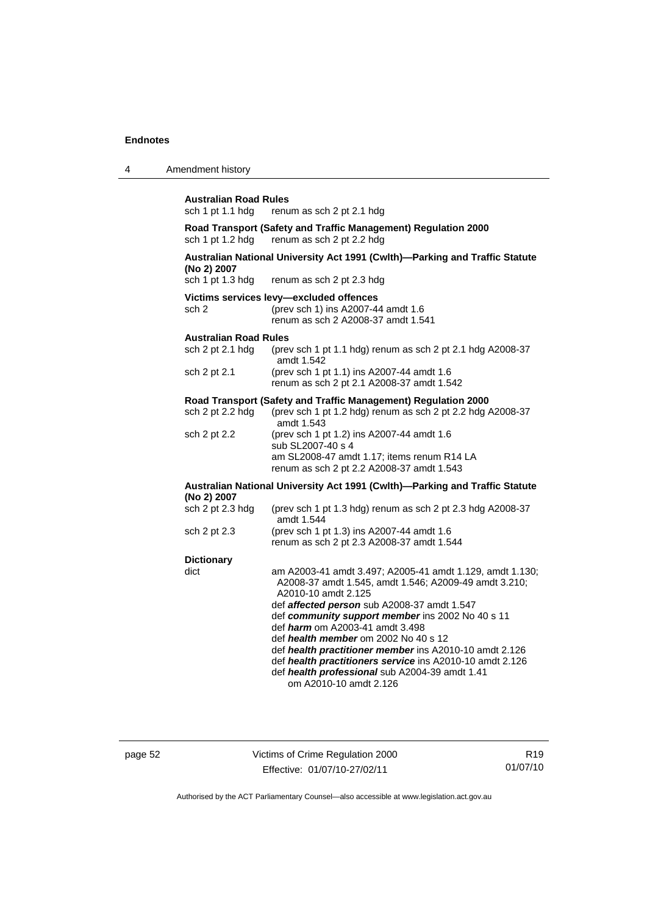4

| <b>Australian Road Rules</b><br>sch 1 pt 1.1 hdg                                           | renum as sch 2 pt 2.1 hdg                                                                                                                |  |
|--------------------------------------------------------------------------------------------|------------------------------------------------------------------------------------------------------------------------------------------|--|
| sch 1 pt 1.2 hdg                                                                           | Road Transport (Safety and Traffic Management) Regulation 2000<br>renum as sch 2 pt 2.2 hdg                                              |  |
| (No 2) 2007                                                                                | Australian National University Act 1991 (Cwlth)-Parking and Traffic Statute                                                              |  |
| sch 1 pt 1.3 hdg                                                                           | renum as sch 2 pt 2.3 hdg                                                                                                                |  |
| sch 2                                                                                      | Victims services levy-excluded offences<br>(prev sch 1) ins A2007-44 amdt 1.6<br>renum as sch 2 A2008-37 amdt 1.541                      |  |
| <b>Australian Road Rules</b>                                                               |                                                                                                                                          |  |
| sch 2 pt 2.1 hdg                                                                           | (prev sch 1 pt 1.1 hdg) renum as sch 2 pt 2.1 hdg A2008-37<br>amdt 1.542                                                                 |  |
| sch 2 pt 2.1                                                                               | (prev sch 1 pt 1.1) ins A2007-44 amdt 1.6<br>renum as sch 2 pt 2.1 A2008-37 amdt 1.542                                                   |  |
|                                                                                            | Road Transport (Safety and Traffic Management) Regulation 2000                                                                           |  |
| sch 2 pt 2.2 hdg                                                                           | (prev sch 1 pt 1.2 hdg) renum as sch 2 pt 2.2 hdg A2008-37<br>amdt 1.543                                                                 |  |
| sch 2 pt 2.2                                                                               | (prev sch 1 pt 1.2) ins A2007-44 amdt 1.6<br>sub SL2007-40 s 4                                                                           |  |
|                                                                                            | am SL2008-47 amdt 1.17; items renum R14 LA<br>renum as sch 2 pt 2.2 A2008-37 amdt 1.543                                                  |  |
| Australian National University Act 1991 (Cwlth)—Parking and Traffic Statute<br>(No 2) 2007 |                                                                                                                                          |  |
| sch 2 pt 2.3 hdg                                                                           | (prev sch 1 pt 1.3 hdg) renum as sch 2 pt 2.3 hdg A2008-37<br>amdt 1.544                                                                 |  |
| sch 2 pt 2.3                                                                               | (prev sch 1 pt 1.3) ins A2007-44 amdt 1.6<br>renum as sch 2 pt 2.3 A2008-37 amdt 1.544                                                   |  |
| <b>Dictionary</b>                                                                          |                                                                                                                                          |  |
| dict                                                                                       | am A2003-41 amdt 3.497; A2005-41 amdt 1.129, amdt 1.130;<br>A2008-37 amdt 1.545, amdt 1.546; A2009-49 amdt 3.210;<br>A2010-10 amdt 2.125 |  |
|                                                                                            | def affected person sub A2008-37 amdt 1.547                                                                                              |  |
|                                                                                            | def community support member ins 2002 No 40 s 11                                                                                         |  |
|                                                                                            | def harm om A2003-41 amdt 3.498                                                                                                          |  |
|                                                                                            | def health member om 2002 No 40 s 12                                                                                                     |  |
|                                                                                            | def health practitioners service ins A2010-10 amdt 2.126<br>def health professional sub A2004-39 amdt 1.41                               |  |
|                                                                                            | def health practitioner member ins A2010-10 amdt 2.126<br>om A2010-10 amdt 2.126                                                         |  |

page 52 Victims of Crime Regulation 2000 Effective: 01/07/10-27/02/11

R19 01/07/10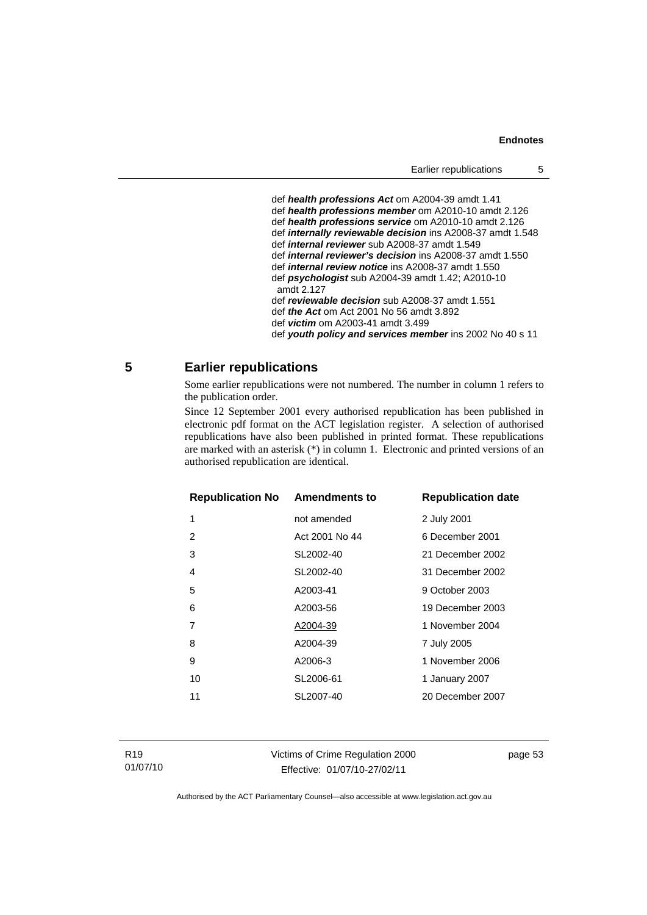<span id="page-58-0"></span> def *health professions Act* om A2004-39 amdt 1.41 def *health professions member* om A2010-10 amdt 2.126 def *health professions service* om A2010-10 amdt 2.126 def *internally reviewable decision* ins A2008-37 amdt 1.548 def *internal reviewer* sub A2008-37 amdt 1.549 def *internal reviewer's decision* ins A2008-37 amdt 1.550 def *internal review notice* ins A2008-37 amdt 1.550 def *psychologist* sub A2004-39 amdt 1.42; A2010-10 amdt 2.127 def *reviewable decision* sub A2008-37 amdt 1.551 def *the Act* om Act 2001 No 56 amdt 3.892 def *victim* om A2003-41 amdt 3.499 def *youth policy and services member* ins 2002 No 40 s 11

#### **5 Earlier republications**

Some earlier republications were not numbered. The number in column 1 refers to the publication order.

Since 12 September 2001 every authorised republication has been published in electronic pdf format on the ACT legislation register. A selection of authorised republications have also been published in printed format. These republications are marked with an asterisk (\*) in column 1. Electronic and printed versions of an authorised republication are identical.

| 1<br>2 July 2001<br>not amended<br>Act 2001 No 44<br>6 December 2001<br>2<br>SL2002-40<br>21 December 2002<br>3<br>SL2002-40<br>31 December 2002<br>4<br>9 October 2003<br>5<br>A2003-41<br>6<br>19 December 2003<br>A2003-56<br>1 November 2004<br>7<br>A2004-39<br>8<br>A2004-39<br>7 July 2005<br>1 November 2006<br>9<br>A2006-3<br>SL2006-61<br>10<br>1 January 2007 | <b>Republication No Amendments to</b> |           | <b>Republication date</b> |
|---------------------------------------------------------------------------------------------------------------------------------------------------------------------------------------------------------------------------------------------------------------------------------------------------------------------------------------------------------------------------|---------------------------------------|-----------|---------------------------|
|                                                                                                                                                                                                                                                                                                                                                                           |                                       |           |                           |
|                                                                                                                                                                                                                                                                                                                                                                           |                                       |           |                           |
|                                                                                                                                                                                                                                                                                                                                                                           |                                       |           |                           |
|                                                                                                                                                                                                                                                                                                                                                                           |                                       |           |                           |
|                                                                                                                                                                                                                                                                                                                                                                           |                                       |           |                           |
|                                                                                                                                                                                                                                                                                                                                                                           |                                       |           |                           |
|                                                                                                                                                                                                                                                                                                                                                                           |                                       |           |                           |
|                                                                                                                                                                                                                                                                                                                                                                           |                                       |           |                           |
|                                                                                                                                                                                                                                                                                                                                                                           |                                       |           |                           |
|                                                                                                                                                                                                                                                                                                                                                                           |                                       |           |                           |
|                                                                                                                                                                                                                                                                                                                                                                           | 11                                    | SL2007-40 | 20 December 2007          |

Victims of Crime Regulation 2000 Effective: 01/07/10-27/02/11

page 53